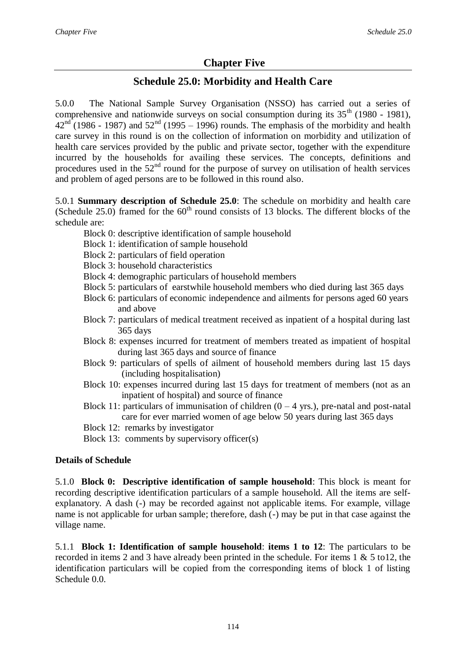# **Chapter Five**

## **Schedule 25.0: Morbidity and Health Care**

5.0.0 The National Sample Survey Organisation (NSSO) has carried out a series of comprehensive and nationwide surveys on social consumption during its  $35<sup>th</sup>$  (1980 - 1981),  $42<sup>nd</sup>$  (1986 - 1987) and  $52<sup>nd</sup>$  (1995 – 1996) rounds. The emphasis of the morbidity and health care survey in this round is on the collection of information on morbidity and utilization of health care services provided by the public and private sector, together with the expenditure incurred by the households for availing these services. The concepts, definitions and procedures used in the  $52<sup>nd</sup>$  round for the purpose of survey on utilisation of health services and problem of aged persons are to be followed in this round also.

5.0.1 **Summary description of Schedule 25.0**: The schedule on morbidity and health care (Schedule 25.0) framed for the  $60<sup>th</sup>$  round consists of 13 blocks. The different blocks of the schedule are:

- Block 0: descriptive identification of sample household
- Block 1: identification of sample household
- Block 2: particulars of field operation
- Block 3: household characteristics
- Block 4: demographic particulars of household members
- Block 5: particulars of earstwhile household members who died during last 365 days
- Block 6: particulars of economic independence and ailments for persons aged 60 years and above
- Block 7: particulars of medical treatment received as inpatient of a hospital during last 365 days
- Block 8: expenses incurred for treatment of members treated as impatient of hospital during last 365 days and source of finance
- Block 9: particulars of spells of ailment of household members during last 15 days (including hospitalisation)
- Block 10: expenses incurred during last 15 days for treatment of members (not as an inpatient of hospital) and source of finance
- Block 11: particulars of immunisation of children  $(0 4$  yrs.), pre-natal and post-natal care for ever married women of age below 50 years during last 365 days
- Block 12: remarks by investigator
- Block 13: comments by supervisory officer(s)

## **Details of Schedule**

5.1.0 **Block 0: Descriptive identification of sample household**: This block is meant for recording descriptive identification particulars of a sample household. All the items are selfexplanatory. A dash (-) may be recorded against not applicable items. For example, village name is not applicable for urban sample; therefore, dash (-) may be put in that case against the village name.

5.1.1 **Block 1: Identification of sample household**: **items 1 to 12**: The particulars to be recorded in items 2 and 3 have already been printed in the schedule. For items 1 & 5 to12, the identification particulars will be copied from the corresponding items of block 1 of listing Schedule 0.0.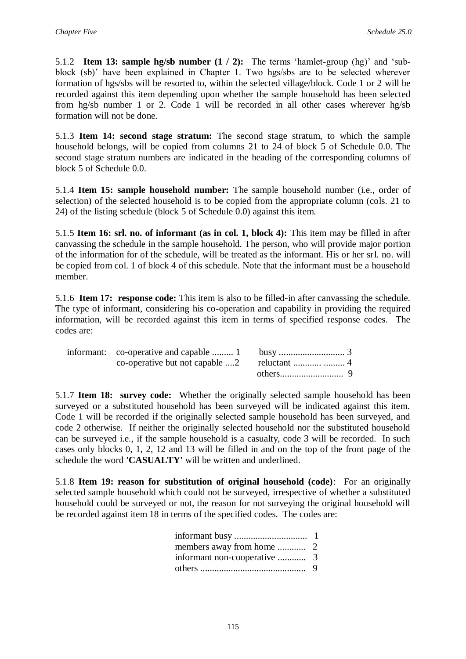5.1.2 **Item 13: sample hg/sb number (1 / 2):** The terms 'hamlet-group (hg)' and 'subblock (sb)' have been explained in Chapter 1. Two hgs/sbs are to be selected wherever formation of hgs/sbs will be resorted to, within the selected village/block. Code 1 or 2 will be recorded against this item depending upon whether the sample household has been selected from hg/sb number 1 or 2. Code 1 will be recorded in all other cases wherever hg/sb formation will not be done.

5.1.3 **Item 14: second stage stratum:** The second stage stratum, to which the sample household belongs, will be copied from columns 21 to 24 of block 5 of Schedule 0.0. The second stage stratum numbers are indicated in the heading of the corresponding columns of block 5 of Schedule 0.0.

5.1.4 **Item 15: sample household number:** The sample household number (i.e., order of selection) of the selected household is to be copied from the appropriate column (cols. 21 to 24) of the listing schedule (block 5 of Schedule 0.0) against this item.

5.1.5 **Item 16: srl. no. of informant (as in col. 1, block 4):** This item may be filled in after canvassing the schedule in the sample household. The person, who will provide major portion of the information for of the schedule, will be treated as the informant. His or her srl. no. will be copied from col. 1 of block 4 of this schedule. Note that the informant must be a household member.

5.1.6 **Item 17: response code:** This item is also to be filled-in after canvassing the schedule. The type of informant, considering his co-operation and capability in providing the required information, will be recorded against this item in terms of specified response codes. The codes are:

5.1.7 **Item 18: survey code:** Whether the originally selected sample household has been surveyed or a substituted household has been surveyed will be indicated against this item. Code 1 will be recorded if the originally selected sample household has been surveyed, and code 2 otherwise. If neither the originally selected household nor the substituted household can be surveyed i.e., if the sample household is a casualty, code 3 will be recorded. In such cases only blocks 0, 1, 2, 12 and 13 will be filled in and on the top of the front page of the schedule the word **'CASUALTY'** will be written and underlined.

5.1.8 **Item 19: reason for substitution of original household (code)**: For an originally selected sample household which could not be surveyed, irrespective of whether a substituted household could be surveyed or not, the reason for not surveying the original household will be recorded against item 18 in terms of the specified codes. The codes are: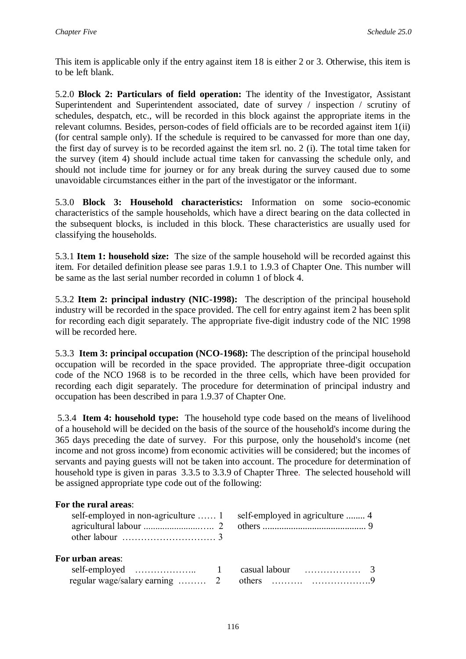This item is applicable only if the entry against item 18 is either 2 or 3. Otherwise, this item is to be left blank.

5.2.0 **Block 2: Particulars of field operation:** The identity of the Investigator, Assistant Superintendent and Superintendent associated, date of survey / inspection / scrutiny of schedules, despatch, etc., will be recorded in this block against the appropriate items in the relevant columns. Besides, person-codes of field officials are to be recorded against item 1(ii) (for central sample only). If the schedule is required to be canvassed for more than one day, the first day of survey is to be recorded against the item srl. no. 2 (i). The total time taken for the survey (item 4) should include actual time taken for canvassing the schedule only, and should not include time for journey or for any break during the survey caused due to some unavoidable circumstances either in the part of the investigator or the informant.

5.3.0 **Block 3: Household characteristics:** Information on some socio-economic characteristics of the sample households, which have a direct bearing on the data collected in the subsequent blocks, is included in this block. These characteristics are usually used for classifying the households.

5.3.1 **Item 1: household size:** The size of the sample household will be recorded against this item. For detailed definition please see paras 1.9.1 to 1.9.3 of Chapter One. This number will be same as the last serial number recorded in column 1 of block 4.

5.3.2 **Item 2: principal industry (NIC-1998):** The description of the principal household industry will be recorded in the space provided. The cell for entry against item 2 has been split for recording each digit separately. The appropriate five-digit industry code of the NIC 1998 will be recorded here.

5.3.3 **Item 3: principal occupation (NCO-1968):** The description of the principal household occupation will be recorded in the space provided. The appropriate three-digit occupation code of the NCO 1968 is to be recorded in the three cells, which have been provided for recording each digit separately. The procedure for determination of principal industry and occupation has been described in para 1.9.37 of Chapter One.

5.3.4 **Item 4: household type:** The household type code based on the means of livelihood of a household will be decided on the basis of the source of the household's income during the 365 days preceding the date of survey. For this purpose, only the household's income (net income and not gross income) from economic activities will be considered; but the incomes of servants and paying guests will not be taken into account. The procedure for determination of household type is given in paras 3.3.5 to 3.3.9 of Chapter Three. The selected household will be assigned appropriate type code out of the following:

## **For the rural areas**:

|                         | self-employed in non-agriculture  1 self-employed in agriculture  4 |
|-------------------------|---------------------------------------------------------------------|
| <b>For urban areas:</b> |                                                                     |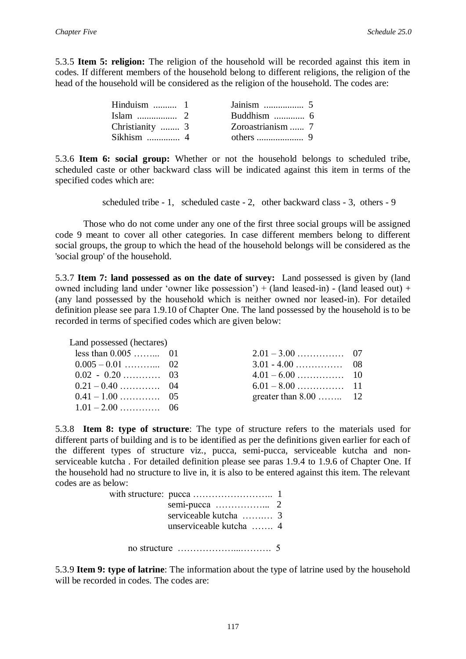5.3.5 **Item 5: religion:** The religion of the household will be recorded against this item in codes. If different members of the household belong to different religions, the religion of the head of the household will be considered as the religion of the household. The codes are:

| Hinduism $\dots \dots \dots 1$ |                   |
|--------------------------------|-------------------|
|                                |                   |
| Christianity  3                | Zoroastrianism  7 |
| Sikhism $\ldots$ 4             |                   |

5.3.6 **Item 6: social group:** Whether or not the household belongs to scheduled tribe, scheduled caste or other backward class will be indicated against this item in terms of the specified codes which are:

scheduled tribe - 1, scheduled caste - 2, other backward class - 3, others - 9

Those who do not come under any one of the first three social groups will be assigned code 9 meant to cover all other categories. In case different members belong to different social groups, the group to which the head of the household belongs will be considered as the 'social group' of the household.

5.3.7 **Item 7: land possessed as on the date of survey:** Land possessed is given by (land owned including land under 'owner like possession') + (land leased-in) - (land leased out) + (any land possessed by the household which is neither owned nor leased-in). For detailed definition please see para 1.9.10 of Chapter One. The land possessed by the household is to be recorded in terms of specified codes which are given below:

| Land possessed (hectares) |                        |  |
|---------------------------|------------------------|--|
| less than $0.005$ 01      |                        |  |
|                           |                        |  |
|                           |                        |  |
|                           |                        |  |
|                           | greater than $8.00$ 12 |  |
|                           |                        |  |
|                           |                        |  |

5.3.8 **Item 8: type of structure**: The type of structure refers to the materials used for different parts of building and is to be identified as per the definitions given earlier for each of the different types of structure viz., pucca, semi-pucca, serviceable kutcha and nonserviceable kutcha . For detailed definition please see paras 1.9.4 to 1.9.6 of Chapter One. If the household had no structure to live in, it is also to be entered against this item. The relevant codes are as below:

| serviceable kutcha  3<br>unserviceable kutcha  4               |  |
|----------------------------------------------------------------|--|
| no structure $\dots \dots \dots \dots \dots \dots \dots \dots$ |  |

5.3.9 **Item 9: type of latrine**: The information about the type of latrine used by the household will be recorded in codes. The codes are: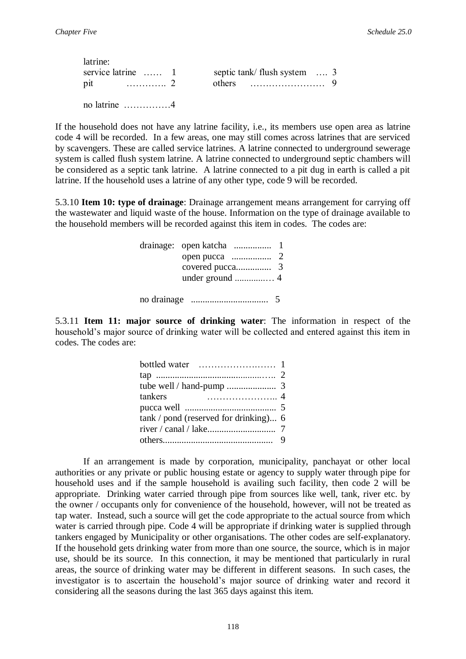| latrine:           |                              |
|--------------------|------------------------------|
| service latrine  1 | septic tank/ flush system  3 |
|                    | others $\ldots$ 9            |
|                    |                              |

no latrine ……………4

If the household does not have any latrine facility, i.e., its members use open area as latrine code 4 will be recorded. In a few areas, one may still comes across latrines that are serviced by scavengers. These are called service latrines. A latrine connected to underground sewerage system is called flush system latrine. A latrine connected to underground septic chambers will be considered as a septic tank latrine. A latrine connected to a pit dug in earth is called a pit latrine. If the household uses a latrine of any other type, code 9 will be recorded.

5.3.10 **Item 10: type of drainage**: Drainage arrangement means arrangement for carrying off the wastewater and liquid waste of the house. Information on the type of drainage available to the household members will be recorded against this item in codes. The codes are:

| no drainage |  |
|-------------|--|

5.3.11 **Item 11: major source of drinking water**: The information in respect of the household's major source of drinking water will be collected and entered against this item in codes. The codes are:

| tankers                                 |  |
|-----------------------------------------|--|
|                                         |  |
| $tank / pond$ (reserved for drinking) 6 |  |
|                                         |  |
|                                         |  |
|                                         |  |

If an arrangement is made by corporation, municipality, panchayat or other local authorities or any private or public housing estate or agency to supply water through pipe for household uses and if the sample household is availing such facility, then code 2 will be appropriate. Drinking water carried through pipe from sources like well, tank, river etc. by the owner / occupants only for convenience of the household, however, will not be treated as tap water. Instead, such a source will get the code appropriate to the actual source from which water is carried through pipe. Code 4 will be appropriate if drinking water is supplied through tankers engaged by Municipality or other organisations. The other codes are self-explanatory. If the household gets drinking water from more than one source, the source, which is in major use, should be its source. In this connection, it may be mentioned that particularly in rural areas, the source of drinking water may be different in different seasons. In such cases, the investigator is to ascertain the household's major source of drinking water and record it considering all the seasons during the last 365 days against this item.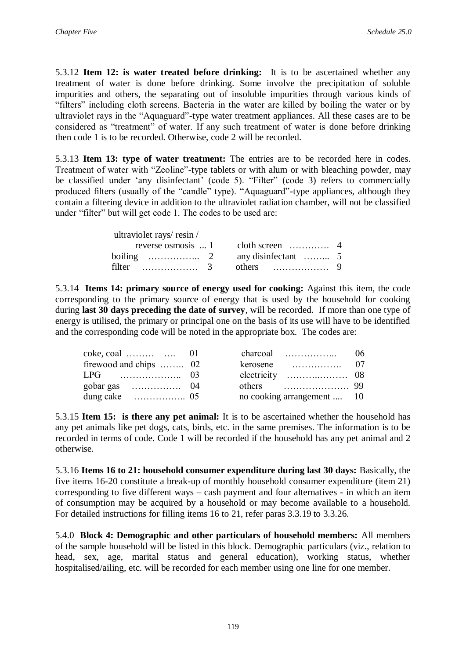5.3.12 **Item 12: is water treated before drinking:** It is to be ascertained whether any treatment of water is done before drinking. Some involve the precipitation of soluble impurities and others, the separating out of insoluble impurities through various kinds of "filters" including cloth screens. Bacteria in the water are killed by boiling the water or by ultraviolet rays in the "Aquaguard"-type water treatment appliances. All these cases are to be considered as "treatment" of water. If any such treatment of water is done before drinking then code 1 is to be recorded. Otherwise, code 2 will be recorded.

5.3.13 **Item 13: type of water treatment:** The entries are to be recorded here in codes. Treatment of water with "Zeoline"-type tablets or with alum or with bleaching powder, may be classified under 'any disinfectant' (code 5). "Filter" (code 3) refers to commercially produced filters (usually of the "candle" type). "Aquaguard"-type appliances, although they contain a filtering device in addition to the ultraviolet radiation chamber, will not be classified under "filter" but will get code 1. The codes to be used are:

| ultraviolet rays/resin/    |                                                                                            |  |
|----------------------------|--------------------------------------------------------------------------------------------|--|
|                            |                                                                                            |  |
|                            | boiling $\ldots$ $\ldots$ $\ldots$ $\ldots$ $\ldots$ $\ldots$ $\ldots$ $\ldots$ $\ldots$ 5 |  |
| filter $\ldots$ $\ldots$ 3 |                                                                                            |  |

5.3.14 **Items 14: primary source of energy used for cooking:** Against this item, the code corresponding to the primary source of energy that is used by the household for cooking during **last 30 days preceding the date of survey**, will be recorded. If more than one type of energy is utilised, the primary or principal one on the basis of its use will have to be identified and the corresponding code will be noted in the appropriate box. The codes are:

| $\csc \csc 01$ 01      |  |                            |  |
|------------------------|--|----------------------------|--|
| firewood and chips  02 |  |                            |  |
|                        |  |                            |  |
|                        |  |                            |  |
| dung cake $\ldots$ 05  |  | no cooking arrangement  10 |  |

5.3.15 **Item 15: is there any pet animal:** It is to be ascertained whether the household has any pet animals like pet dogs, cats, birds, etc. in the same premises. The information is to be recorded in terms of code. Code 1 will be recorded if the household has any pet animal and 2 otherwise.

5.3.16 **Items 16 to 21: household consumer expenditure during last 30 days:** Basically, the five items 16-20 constitute a break-up of monthly household consumer expenditure (item 21) corresponding to five different ways – cash payment and four alternatives - in which an item of consumption may be acquired by a household or may become available to a household. For detailed instructions for filling items 16 to 21, refer paras 3.3.19 to 3.3.26.

5.4.0 **Block 4: Demographic and other particulars of household members:** All members of the sample household will be listed in this block. Demographic particulars (viz., relation to head, sex, age, marital status and general education), working status, whether hospitalised/ailing, etc. will be recorded for each member using one line for one member.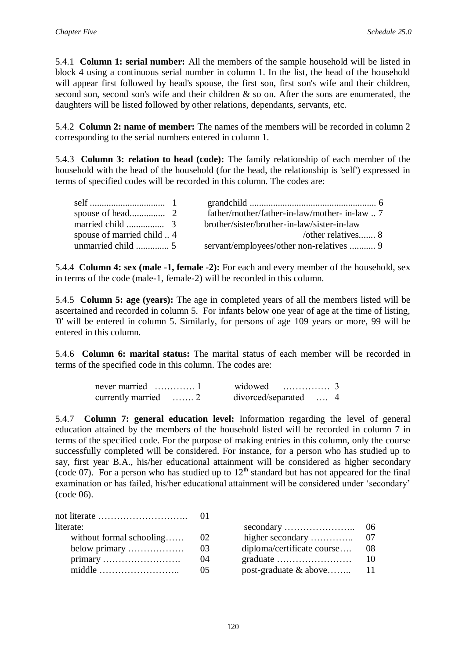5.4.1 **Column 1: serial number:** All the members of the sample household will be listed in block 4 using a continuous serial number in column 1. In the list, the head of the household will appear first followed by head's spouse, the first son, first son's wife and their children, second son, second son's wife and their children & so on. After the sons are enumerated, the daughters will be listed followed by other relations, dependants, servants, etc.

5.4.2 **Column 2: name of member:** The names of the members will be recorded in column 2 corresponding to the serial numbers entered in column 1.

5.4.3 **Column 3: relation to head (code):** The family relationship of each member of the household with the head of the household (for the head, the relationship is 'self') expressed in terms of specified codes will be recorded in this column. The codes are:

|                          | father/mother/father-in-law/mother-in-law   |
|--------------------------|---------------------------------------------|
|                          | brother/sister/brother-in-law/sister-in-law |
| spouse of married child4 | /other relatives 8                          |
|                          |                                             |

5.4.4 **Column 4: sex (male -1, female -2):** For each and every member of the household, sex in terms of the code (male-1, female-2) will be recorded in this column.

5.4.5 **Column 5: age (years):** The age in completed years of all the members listed will be ascertained and recorded in column 5. For infants below one year of age at the time of listing, '0' will be entered in column 5. Similarly, for persons of age 109 years or more, 99 will be entered in this column.

5.4.6 **Column 6: marital status:** The marital status of each member will be recorded in terms of the specified code in this column. The codes are:

|                                   | widowed $\ldots$ 3    |  |  |
|-----------------------------------|-----------------------|--|--|
| currently married $\dots \dots 2$ | divorced/separated  4 |  |  |

5.4.7 **Column 7: general education level:** Information regarding the level of general education attained by the members of the household listed will be recorded in column 7 in terms of the specified code. For the purpose of making entries in this column, only the course successfully completed will be considered. For instance, for a person who has studied up to say, first year B.A., his/her educational attainment will be considered as higher secondary (code 07). For a person who has studied up to  $12<sup>th</sup>$  standard but has not appeared for the final examination or has failed, his/her educational attainment will be considered under 'secondary' (code 06).

| literate:                |      |                                                |      |
|--------------------------|------|------------------------------------------------|------|
| without formal schooling | - 02 | higher secondary                               | - 07 |
| below primary            | -03  | diploma/certificate course                     | 08   |
|                          | 04   | graduate $\dots\dots\dots\dots\dots\dots\dots$ | - 10 |
|                          | -05  | post-graduate $\&$ above 11                    |      |

|                            | 06 |
|----------------------------|----|
| higher secondary           | 07 |
| diploma/certificate course | 08 |
| graduate                   | 10 |
| post-graduate & above      | 11 |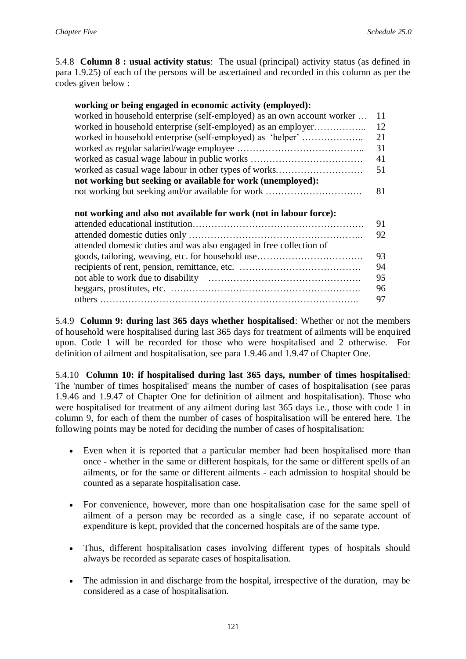5.4.8 **Column 8 : usual activity status**: The usual (principal) activity status (as defined in para 1.9.25) of each of the persons will be ascertained and recorded in this column as per the codes given below :

#### **working or being engaged in economic activity (employed):**

| worked in household enterprise (self-employed) as an own account worker  11 |    |
|-----------------------------------------------------------------------------|----|
|                                                                             |    |
|                                                                             |    |
|                                                                             | 31 |
|                                                                             | 41 |
|                                                                             |    |
| not working but seeking or available for work (unemployed):                 |    |
|                                                                             |    |
|                                                                             |    |

#### **not working and also not available for work (not in labour force):**

| attended domestic duties and was also engaged in free collection of |    |
|---------------------------------------------------------------------|----|
|                                                                     | 93 |
|                                                                     | 94 |
|                                                                     | 95 |
|                                                                     | 96 |
|                                                                     |    |
|                                                                     |    |

5.4.9 **Column 9: during last 365 days whether hospitalised**: Whether or not the members of household were hospitalised during last 365 days for treatment of ailments will be enquired upon. Code 1 will be recorded for those who were hospitalised and 2 otherwise. For definition of ailment and hospitalisation, see para 1.9.46 and 1.9.47 of Chapter One.

5.4.10 **Column 10: if hospitalised during last 365 days, number of times hospitalised**: The 'number of times hospitalised' means the number of cases of hospitalisation (see paras 1.9.46 and 1.9.47 of Chapter One for definition of ailment and hospitalisation). Those who were hospitalised for treatment of any ailment during last 365 days i.e., those with code 1 in column 9, for each of them the number of cases of hospitalisation will be entered here. The following points may be noted for deciding the number of cases of hospitalisation:

- Even when it is reported that a particular member had been hospitalised more than once - whether in the same or different hospitals, for the same or different spells of an ailments, or for the same or different ailments - each admission to hospital should be counted as a separate hospitalisation case.
- For convenience, however, more than one hospitalisation case for the same spell of ailment of a person may be recorded as a single case, if no separate account of expenditure is kept, provided that the concerned hospitals are of the same type.
- Thus, different hospitalisation cases involving different types of hospitals should always be recorded as separate cases of hospitalisation.
- The admission in and discharge from the hospital, irrespective of the duration, may be considered as a case of hospitalisation.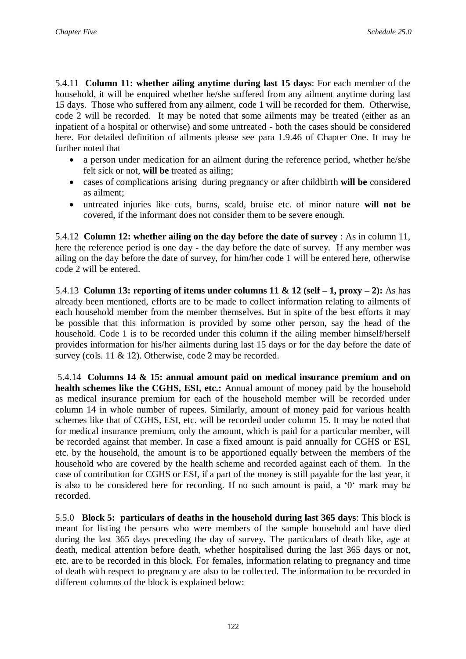5.4.11 **Column 11: whether ailing anytime during last 15 days**: For each member of the household, it will be enquired whether he/she suffered from any ailment anytime during last 15 days. Those who suffered from any ailment, code 1 will be recorded for them. Otherwise, code 2 will be recorded. It may be noted that some ailments may be treated (either as an inpatient of a hospital or otherwise) and some untreated - both the cases should be considered here. For detailed definition of ailments please see para 1.9.46 of Chapter One. It may be further noted that

- a person under medication for an ailment during the reference period, whether he/she felt sick or not, **will be** treated as ailing;
- cases of complications arising during pregnancy or after childbirth **will be** considered as ailment;
- untreated injuries like cuts, burns, scald, bruise etc. of minor nature **will not be** covered, if the informant does not consider them to be severe enough.

5.4.12 **Column 12: whether ailing on the day before the date of survey** : As in column 11, here the reference period is one day - the day before the date of survey. If any member was ailing on the day before the date of survey, for him/her code 1 will be entered here, otherwise code 2 will be entered.

5.4.13 **Column 13: reporting of items under columns 11 & 12 (self – 1, proxy – 2):** As has already been mentioned, efforts are to be made to collect information relating to ailments of each household member from the member themselves. But in spite of the best efforts it may be possible that this information is provided by some other person, say the head of the household. Code 1 is to be recorded under this column if the ailing member himself/herself provides information for his/her ailments during last 15 days or for the day before the date of survey (cols. 11 & 12). Otherwise, code 2 may be recorded.

5.4.14 **Columns 14 & 15: annual amount paid on medical insurance premium and on health schemes like the CGHS, ESI, etc.:** Annual amount of money paid by the household as medical insurance premium for each of the household member will be recorded under column 14 in whole number of rupees. Similarly, amount of money paid for various health schemes like that of CGHS, ESI, etc. will be recorded under column 15. It may be noted that for medical insurance premium, only the amount, which is paid for a particular member, will be recorded against that member. In case a fixed amount is paid annually for CGHS or ESI, etc. by the household, the amount is to be apportioned equally between the members of the household who are covered by the health scheme and recorded against each of them. In the case of contribution for CGHS or ESI, if a part of the money is still payable for the last year, it is also to be considered here for recording. If no such amount is paid, a '0' mark may be recorded.

5.5.0 **Block 5: particulars of deaths in the household during last 365 days**: This block is meant for listing the persons who were members of the sample household and have died during the last 365 days preceding the day of survey. The particulars of death like, age at death, medical attention before death, whether hospitalised during the last 365 days or not, etc. are to be recorded in this block. For females, information relating to pregnancy and time of death with respect to pregnancy are also to be collected. The information to be recorded in different columns of the block is explained below: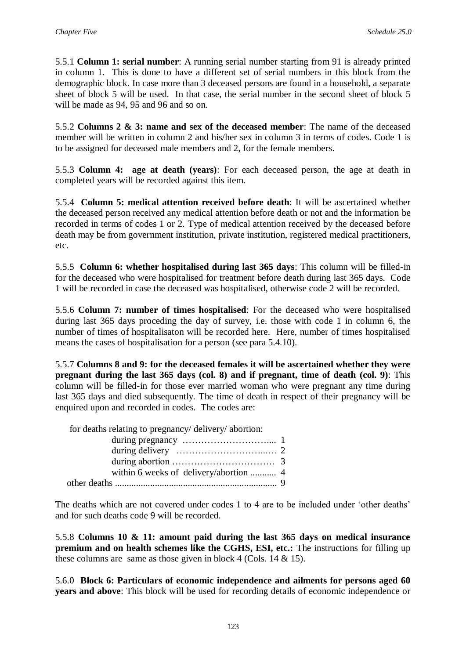5.5.1 **Column 1: serial number**: A running serial number starting from 91 is already printed in column 1. This is done to have a different set of serial numbers in this block from the demographic block. In case more than 3 deceased persons are found in a household, a separate sheet of block 5 will be used. In that case, the serial number in the second sheet of block 5 will be made as 94, 95 and 96 and so on.

5.5.2 **Columns 2 & 3: name and sex of the deceased member**: The name of the deceased member will be written in column 2 and his/her sex in column 3 in terms of codes. Code 1 is to be assigned for deceased male members and 2, for the female members.

5.5.3 **Column 4: age at death (years)**: For each deceased person, the age at death in completed years will be recorded against this item.

5.5.4 **Column 5: medical attention received before death**: It will be ascertained whether the deceased person received any medical attention before death or not and the information be recorded in terms of codes 1 or 2. Type of medical attention received by the deceased before death may be from government institution, private institution, registered medical practitioners, etc.

5.5.5 **Column 6: whether hospitalised during last 365 days**: This column will be filled-in for the deceased who were hospitalised for treatment before death during last 365 days. Code 1 will be recorded in case the deceased was hospitalised, otherwise code 2 will be recorded.

5.5.6 **Column 7: number of times hospitalised**: For the deceased who were hospitalised during last 365 days proceding the day of survey, i.e. those with code 1 in column 6, the number of times of hospitalisaton will be recorded here. Here, number of times hospitalised means the cases of hospitalisation for a person (see para 5.4.10).

5.5.7 **Columns 8 and 9: for the deceased females it will be ascertained whether they were pregnant during the last 365 days (col. 8) and if pregnant, time of death (col. 9)**: This column will be filled-in for those ever married woman who were pregnant any time during last 365 days and died subsequently. The time of death in respect of their pregnancy will be enquired upon and recorded in codes. The codes are:

 for deaths relating to pregnancy/ delivery/ abortion: during pregnancy ……………………….... 1 during delivery ………………………...… 2 during abortion …………………………… 3 within 6 weeks of delivery/abortion ........... 4 other deaths ..................................................................... 9

The deaths which are not covered under codes 1 to 4 are to be included under 'other deaths' and for such deaths code 9 will be recorded.

5.5.8 **Columns 10 & 11: amount paid during the last 365 days on medical insurance premium and on health schemes like the CGHS, ESI, etc.:** The instructions for filling up these columns are same as those given in block 4 (Cols.  $14 \& 15$ ).

5.6.0 **Block 6: Particulars of economic independence and ailments for persons aged 60 years and above**: This block will be used for recording details of economic independence or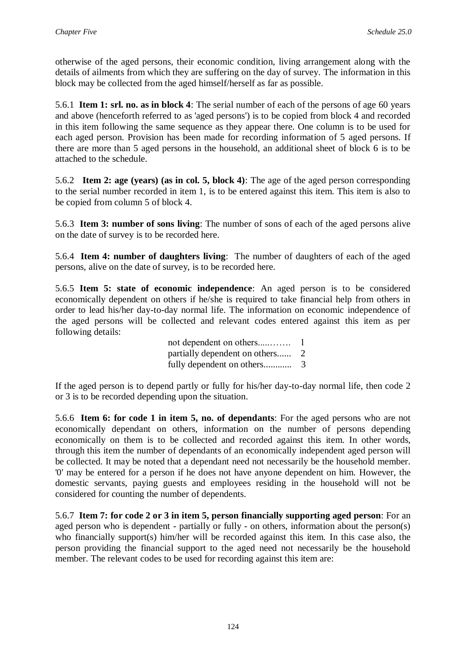otherwise of the aged persons, their economic condition, living arrangement along with the details of ailments from which they are suffering on the day of survey. The information in this block may be collected from the aged himself/herself as far as possible.

5.6.1 **Item 1: srl. no. as in block 4**: The serial number of each of the persons of age 60 years and above (henceforth referred to as 'aged persons') is to be copied from block 4 and recorded in this item following the same sequence as they appear there. One column is to be used for each aged person. Provision has been made for recording information of 5 aged persons. If there are more than 5 aged persons in the household, an additional sheet of block 6 is to be attached to the schedule.

5.6.2 **Item 2: age (years) (as in col. 5, block 4)**: The age of the aged person corresponding to the serial number recorded in item 1, is to be entered against this item. This item is also to be copied from column 5 of block 4.

5.6.3 **Item 3: number of sons living**: The number of sons of each of the aged persons alive on the date of survey is to be recorded here.

5.6.4 **Item 4: number of daughters living**: The number of daughters of each of the aged persons, alive on the date of survey, is to be recorded here.

5.6.5 **Item 5: state of economic independence**: An aged person is to be considered economically dependent on others if he/she is required to take financial help from others in order to lead his/her day-to-day normal life. The information on economic independence of the aged persons will be collected and relevant codes entered against this item as per following details:

> not dependent on others.....……. 1 partially dependent on others...... 2 fully dependent on others............ 3

If the aged person is to depend partly or fully for his/her day-to-day normal life, then code 2 or 3 is to be recorded depending upon the situation.

5.6.6 **Item 6: for code 1 in item 5, no. of dependants**: For the aged persons who are not economically dependant on others, information on the number of persons depending economically on them is to be collected and recorded against this item. In other words, through this item the number of dependants of an economically independent aged person will be collected. It may be noted that a dependant need not necessarily be the household member. '0' may be entered for a person if he does not have anyone dependent on him. However, the domestic servants, paying guests and employees residing in the household will not be considered for counting the number of dependents.

5.6.7 **Item 7: for code 2 or 3 in item 5, person financially supporting aged person**: For an aged person who is dependent - partially or fully - on others, information about the person(s) who financially support(s) him/her will be recorded against this item. In this case also, the person providing the financial support to the aged need not necessarily be the household member. The relevant codes to be used for recording against this item are: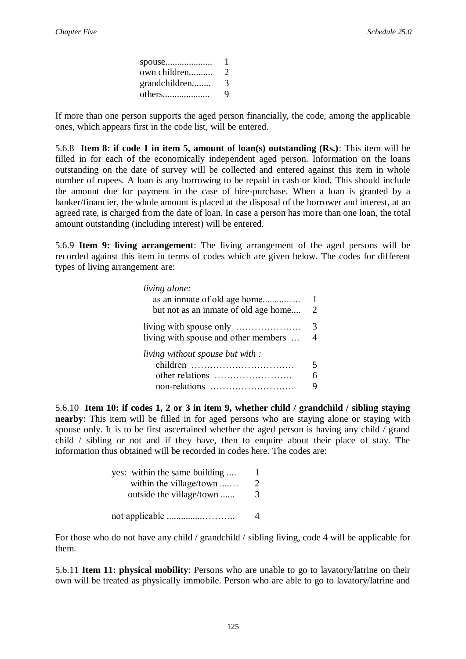| spouse        |   |
|---------------|---|
| own children  | 2 |
| grandchildren | 3 |
| others        | 9 |

If more than one person supports the aged person financially, the code, among the applicable ones, which appears first in the code list, will be entered.

5.6.8 **Item 8: if code 1 in item 5, amount of loan(s) outstanding (Rs.)**: This item will be filled in for each of the economically independent aged person. Information on the loans outstanding on the date of survey will be collected and entered against this item in whole number of rupees. A loan is any borrowing to be repaid in cash or kind. This should include the amount due for payment in the case of hire-purchase. When a loan is granted by a banker/financier, the whole amount is placed at the disposal of the borrower and interest, at an agreed rate, is charged from the date of loan. In case a person has more than one loan, the total amount outstanding (including interest) will be entered.

5.6.9 **Item 9: living arrangement**: The living arrangement of the aged persons will be recorded against this item in terms of codes which are given below. The codes for different types of living arrangement are:

| $\mathcal{D}_{\cdot}$ |
|-----------------------|
| 3                     |
|                       |
|                       |
|                       |
|                       |
|                       |
|                       |

5.6.10 **Item 10: if codes 1, 2 or 3 in item 9, whether child / grandchild / sibling staying nearby**: This item will be filled in for aged persons who are staying alone or staying with spouse only. It is to be first ascertained whether the aged person is having any child / grand child / sibling or not and if they have, then to enquire about their place of stay. The information thus obtained will be recorded in codes here. The codes are:

| yes: within the same building | L |
|-------------------------------|---|
| within the village/town       | 2 |
| outside the village/town      | 3 |
|                               |   |
|                               |   |

For those who do not have any child / grandchild / sibling living, code 4 will be applicable for them.

5.6.11 **Item 11: physical mobility**: Persons who are unable to go to lavatory/latrine on their own will be treated as physically immobile. Person who are able to go to lavatory/latrine and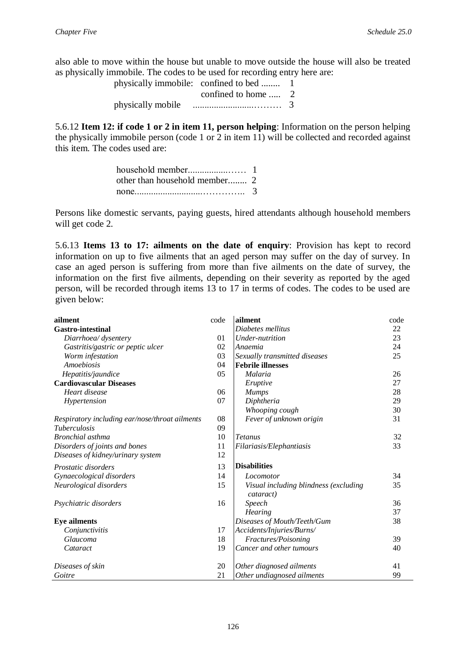also able to move within the house but unable to move outside the house will also be treated as physically immobile. The codes to be used for recording entry here are:

|                   | physically immobile: confined to bed |   |
|-------------------|--------------------------------------|---|
|                   | confined to home  2                  |   |
| physically mobile |                                      | 3 |

5.6.12 **Item 12: if code 1 or 2 in item 11, person helping**: Information on the person helping the physically immobile person (code 1 or 2 in item 11) will be collected and recorded against this item. The codes used are:

Persons like domestic servants, paying guests, hired attendants although household members will get code 2.

5.6.13 **Items 13 to 17: ailments on the date of enquiry**: Provision has kept to record information on up to five ailments that an aged person may suffer on the day of survey. In case an aged person is suffering from more than five ailments on the date of survey, the information on the first five ailments, depending on their severity as reported by the aged person, will be recorded through items 13 to 17 in terms of codes. The codes to be used are given below:

| ailment                                        | code | ailment                                            | code |
|------------------------------------------------|------|----------------------------------------------------|------|
| <b>Gastro-intestinal</b>                       |      | Diabetes mellitus                                  | 22   |
| Diarrhoea/ dysentery                           | 01   | Under-nutrition                                    | 23   |
| Gastritis/gastric or peptic ulcer              | 02   | Anaemia                                            | 24   |
| Worm infestation                               | 03   | Sexually transmitted diseases                      | 25   |
| Amoebiosis                                     | 04   | <b>Febrile illnesses</b>                           |      |
| Hepatitis/jaundice                             | 05   | Malaria                                            | 26   |
| <b>Cardiovascular Diseases</b>                 |      | Eruptive                                           | 27   |
| Heart disease                                  | 06   | <b>Mumps</b>                                       | 28   |
| Hypertension                                   | 07   | Diphtheria                                         | 29   |
|                                                |      | Whooping cough                                     | 30   |
| Respiratory including ear/nose/throat ailments | 08   | Fever of unknown origin                            | 31   |
| <i>Tuberculosis</i>                            | 09   |                                                    |      |
| <b>Bronchial</b> asthma                        | 10   | <b>Tetanus</b>                                     | 32   |
| Disorders of joints and bones                  | 11   | Filariasis/Elephantiasis                           | 33   |
| Diseases of kidney/urinary system              | 12   |                                                    |      |
| Prostatic disorders                            | 13   | <b>Disabilities</b>                                |      |
| Gynaecological disorders                       | 14   | Locomotor                                          | 34   |
| Neurological disorders                         | 15   | Visual including blindness (excluding<br>cataract) | 35   |
| Psychiatric disorders                          | 16   | Speech                                             | 36   |
|                                                |      | Hearing                                            | 37   |
| <b>Eye ailments</b>                            |      | Diseases of Mouth/Teeth/Gum                        | 38   |
| Conjunctivitis                                 | 17   | Accidents/Injuries/Burns/                          |      |
| Glaucoma                                       | 18   | Fractures/Poisoning                                | 39   |
| Cataract                                       | 19   | Cancer and other tumours                           | 40   |
| Diseases of skin                               | 20   | Other diagnosed ailments                           | 41   |
| Goitre                                         | 21   | Other undiagnosed ailments                         | 99   |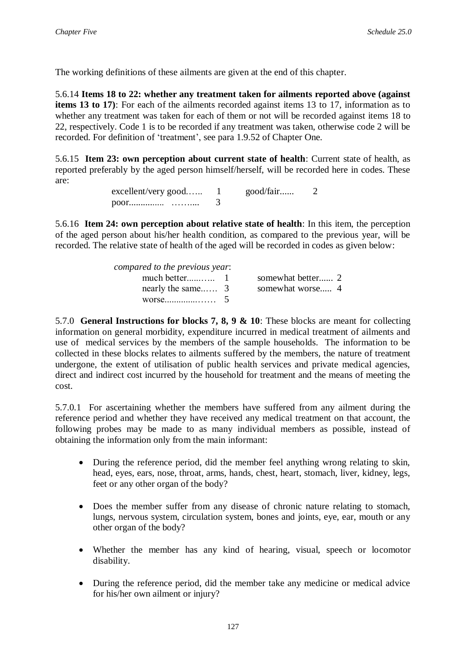The working definitions of these ailments are given at the end of this chapter.

5.6.14 **Items 18 to 22: whether any treatment taken for ailments reported above (against items 13 to 17**): For each of the ailments recorded against items 13 to 17, information as to whether any treatment was taken for each of them or not will be recorded against items 18 to 22, respectively. Code 1 is to be recorded if any treatment was taken, otherwise code 2 will be recorded. For definition of 'treatment', see para 1.9.52 of Chapter One.

5.6.15 **Item 23: own perception about current state of health**: Current state of health, as reported preferably by the aged person himself/herself, will be recorded here in codes. These are:

> excellent/very good...... 1 good/fair...... 2 poor............... …….... 3

5.6.16 **Item 24: own perception about relative state of health**: In this item, the perception of the aged person about his/her health condition, as compared to the previous year, will be recorded. The relative state of health of the aged will be recorded in codes as given below:

| compared to the previous year: |                   |
|--------------------------------|-------------------|
|                                | somewhat better 2 |
| nearly the same $\overline{3}$ | somewhat worse 4  |
| worse 5                        |                   |

5.7.0 **General Instructions for blocks 7, 8, 9 & 10**: These blocks are meant for collecting information on general morbidity, expenditure incurred in medical treatment of ailments and use of medical services by the members of the sample households. The information to be collected in these blocks relates to ailments suffered by the members, the nature of treatment undergone, the extent of utilisation of public health services and private medical agencies, direct and indirect cost incurred by the household for treatment and the means of meeting the cost.

5.7.0.1 For ascertaining whether the members have suffered from any ailment during the reference period and whether they have received any medical treatment on that account, the following probes may be made to as many individual members as possible, instead of obtaining the information only from the main informant:

- During the reference period, did the member feel anything wrong relating to skin, head, eyes, ears, nose, throat, arms, hands, chest, heart, stomach, liver, kidney, legs, feet or any other organ of the body?
- Does the member suffer from any disease of chronic nature relating to stomach, lungs, nervous system, circulation system, bones and joints, eye, ear, mouth or any other organ of the body?
- Whether the member has any kind of hearing, visual, speech or locomotor disability.
- During the reference period, did the member take any medicine or medical advice for his/her own ailment or injury?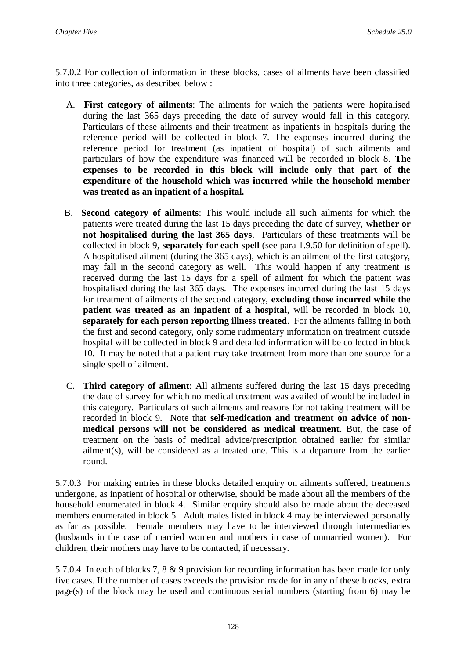5.7.0.2 For collection of information in these blocks, cases of ailments have been classified into three categories, as described below :

- A. **First category of ailments**: The ailments for which the patients were hopitalised during the last 365 days preceding the date of survey would fall in this category. Particulars of these ailments and their treatment as inpatients in hospitals during the reference period will be collected in block 7. The expenses incurred during the reference period for treatment (as inpatient of hospital) of such ailments and particulars of how the expenditure was financed will be recorded in block 8. **The expenses to be recorded in this block will include only that part of the expenditure of the household which was incurred while the household member was treated as an inpatient of a hospital.**
- B. **Second category of ailments**: This would include all such ailments for which the patients were treated during the last 15 days preceding the date of survey, **whether or not hospitalised during the last 365 days**. Particulars of these treatments will be collected in block 9, **separately for each spell** (see para 1.9.50 for definition of spell). A hospitalised ailment (during the 365 days), which is an ailment of the first category, may fall in the second category as well. This would happen if any treatment is received during the last 15 days for a spell of ailment for which the patient was hospitalised during the last 365 days. The expenses incurred during the last 15 days for treatment of ailments of the second category, **excluding those incurred while the patient was treated as an inpatient of a hospital**, will be recorded in block 10, **separately for each person reporting illness treated**. For the ailments falling in both the first and second category, only some rudimentary information on treatment outside hospital will be collected in block 9 and detailed information will be collected in block 10. It may be noted that a patient may take treatment from more than one source for a single spell of ailment.
- C. **Third category of ailment**: All ailments suffered during the last 15 days preceding the date of survey for which no medical treatment was availed of would be included in this category. Particulars of such ailments and reasons for not taking treatment will be recorded in block 9. Note that **self-medication and treatment on advice of nonmedical persons will not be considered as medical treatment**. But, the case of treatment on the basis of medical advice/prescription obtained earlier for similar ailment(s), will be considered as a treated one. This is a departure from the earlier round.

5.7.0.3 For making entries in these blocks detailed enquiry on ailments suffered, treatments undergone, as inpatient of hospital or otherwise, should be made about all the members of the household enumerated in block 4. Similar enquiry should also be made about the deceased members enumerated in block 5. Adult males listed in block 4 may be interviewed personally as far as possible. Female members may have to be interviewed through intermediaries (husbands in the case of married women and mothers in case of unmarried women). For children, their mothers may have to be contacted, if necessary.

5.7.0.4 In each of blocks 7, 8 & 9 provision for recording information has been made for only five cases. If the number of cases exceeds the provision made for in any of these blocks, extra page(s) of the block may be used and continuous serial numbers (starting from 6) may be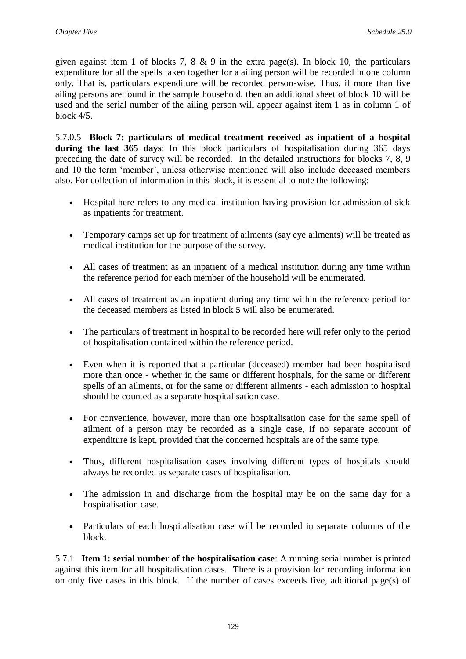given against item 1 of blocks 7, 8  $\&$  9 in the extra page(s). In block 10, the particulars expenditure for all the spells taken together for a ailing person will be recorded in one column only. That is, particulars expenditure will be recorded person-wise. Thus, if more than five ailing persons are found in the sample household, then an additional sheet of block 10 will be used and the serial number of the ailing person will appear against item 1 as in column 1 of block 4/5.

5.7.0.5 **Block 7: particulars of medical treatment received as inpatient of a hospital during the last 365 days**: In this block particulars of hospitalisation during 365 days preceding the date of survey will be recorded. In the detailed instructions for blocks 7, 8, 9 and 10 the term 'member', unless otherwise mentioned will also include deceased members also. For collection of information in this block, it is essential to note the following:

- Hospital here refers to any medical institution having provision for admission of sick as inpatients for treatment.
- Temporary camps set up for treatment of ailments (say eye ailments) will be treated as medical institution for the purpose of the survey.
- All cases of treatment as an inpatient of a medical institution during any time within the reference period for each member of the household will be enumerated.
- All cases of treatment as an inpatient during any time within the reference period for the deceased members as listed in block 5 will also be enumerated.
- The particulars of treatment in hospital to be recorded here will refer only to the period of hospitalisation contained within the reference period.
- Even when it is reported that a particular (deceased) member had been hospitalised more than once - whether in the same or different hospitals, for the same or different spells of an ailments, or for the same or different ailments - each admission to hospital should be counted as a separate hospitalisation case.
- For convenience, however, more than one hospitalisation case for the same spell of ailment of a person may be recorded as a single case, if no separate account of expenditure is kept, provided that the concerned hospitals are of the same type.
- Thus, different hospitalisation cases involving different types of hospitals should always be recorded as separate cases of hospitalisation.
- The admission in and discharge from the hospital may be on the same day for a hospitalisation case.
- Particulars of each hospitalisation case will be recorded in separate columns of the block.

5.7.1 **Item 1: serial number of the hospitalisation case**: A running serial number is printed against this item for all hospitalisation cases. There is a provision for recording information on only five cases in this block. If the number of cases exceeds five, additional page(s) of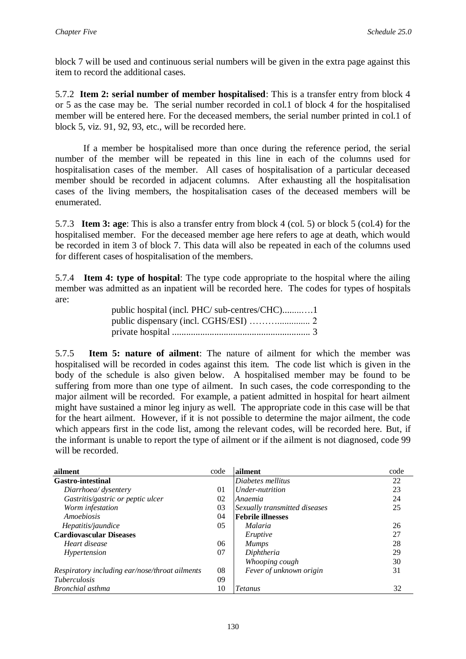block 7 will be used and continuous serial numbers will be given in the extra page against this item to record the additional cases.

5.7.2 **Item 2: serial number of member hospitalised**: This is a transfer entry from block 4 or 5 as the case may be. The serial number recorded in col.1 of block 4 for the hospitalised member will be entered here. For the deceased members, the serial number printed in col.1 of block 5, viz. 91, 92, 93, etc., will be recorded here.

If a member be hospitalised more than once during the reference period, the serial number of the member will be repeated in this line in each of the columns used for hospitalisation cases of the member. All cases of hospitalisation of a particular deceased member should be recorded in adjacent columns. After exhausting all the hospitalisation cases of the living members, the hospitalisation cases of the deceased members will be enumerated.

5.7.3 **Item 3: age**: This is also a transfer entry from block 4 (col. 5) or block 5 (col.4) for the hospitalised member. For the deceased member age here refers to age at death, which would be recorded in item 3 of block 7. This data will also be repeated in each of the columns used for different cases of hospitalisation of the members.

5.7.4 **Item 4: type of hospital**: The type code appropriate to the hospital where the ailing member was admitted as an inpatient will be recorded here. The codes for types of hospitals are:

| public hospital (incl. PHC/ sub-centres/CHC)1 |  |
|-----------------------------------------------|--|
|                                               |  |
|                                               |  |

5.7.5 **Item 5: nature of ailment**: The nature of ailment for which the member was hospitalised will be recorded in codes against this item. The code list which is given in the body of the schedule is also given below. A hospitalised member may be found to be suffering from more than one type of ailment. In such cases, the code corresponding to the major ailment will be recorded. For example, a patient admitted in hospital for heart ailment might have sustained a minor leg injury as well. The appropriate code in this case will be that for the heart ailment. However, if it is not possible to determine the major ailment, the code which appears first in the code list, among the relevant codes, will be recorded here. But, if the informant is unable to report the type of ailment or if the ailment is not diagnosed, code 99 will be recorded.

| ailment                                        | code | ailment                       | code |
|------------------------------------------------|------|-------------------------------|------|
| <b>Gastro-intestinal</b>                       |      | Diabetes mellitus             | 22   |
| Diarrhoea/ dysentery                           | 01   | Under-nutrition               | 23   |
| Gastritis/gastric or peptic ulcer              | 02   | Anaemia                       | 24   |
| Worm infestation                               | 03   | Sexually transmitted diseases | 25   |
| Amoebiosis                                     | 04   | <b>Febrile illnesses</b>      |      |
| Hepatitis/jaundice                             | 05   | Malaria                       | 26   |
| <b>Cardiovascular Diseases</b>                 |      | Eruptive                      | 27   |
| Heart disease                                  | 06   | <b>Mumps</b>                  | 28   |
| Hypertension                                   | 07   | Diphtheria                    | 29   |
|                                                |      | Whooping cough                | 30   |
| Respiratory including ear/nose/throat ailments | 08   | Fever of unknown origin       | 31   |
| <i>Tuberculosis</i>                            | 09   |                               |      |
| Bronchial asthma                               | 10   | Tetanus                       | 32   |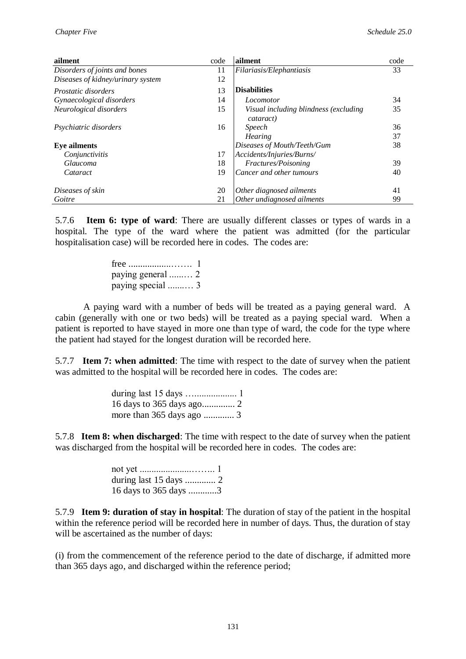| ailment                           | code | ailment                                            | code |
|-----------------------------------|------|----------------------------------------------------|------|
| Disorders of joints and bones     | 11   | Filariasis/Elephantiasis                           | 33   |
| Diseases of kidney/urinary system | 12   |                                                    |      |
| <i>Prostatic disorders</i>        | 13   | <b>Disabilities</b>                                |      |
| Gynaecological disorders          | 14   | Locomotor                                          | 34   |
| Neurological disorders            | 15   | Visual including blindness (excluding<br>cataract) | 35   |
| Psychiatric disorders             | 16   | <i>Speech</i>                                      | 36   |
|                                   |      | <b>Hearing</b>                                     | 37   |
| <b>Eve ailments</b>               |      | Diseases of Mouth/Teeth/Gum                        | 38   |
| Conjunctivitis                    | 17   | Accidents/Injuries/Burns/                          |      |
| Glaucoma                          | 18   | Fractures/Poisoning                                | 39   |
| Cataract                          | 19   | Cancer and other tumours                           | 40   |
| Diseases of skin                  | 20   | Other diagnosed ailments                           | 41   |
| Goitre                            | 21   | Other undiagnosed ailments                         | 99   |

5.7.6 **Item 6: type of ward**: There are usually different classes or types of wards in a hospital. The type of the ward where the patient was admitted (for the particular hospitalisation case) will be recorded here in codes. The codes are:

> free ..................……. 1 paying general ......… 2 paying special .......… 3

A paying ward with a number of beds will be treated as a paying general ward. A cabin (generally with one or two beds) will be treated as a paying special ward. When a patient is reported to have stayed in more one than type of ward, the code for the type where the patient had stayed for the longest duration will be recorded here.

5.7.7 **Item 7: when admitted**: The time with respect to the date of survey when the patient was admitted to the hospital will be recorded here in codes. The codes are:

> during last 15 days ….................. 1 16 days to 365 days ago.............. 2 more than 365 days ago ............. 3

5.7.8 **Item 8: when discharged**: The time with respect to the date of survey when the patient was discharged from the hospital will be recorded here in codes. The codes are:

| 16 days to 365 days 3 |  |
|-----------------------|--|

5.7.9 **Item 9: duration of stay in hospital**: The duration of stay of the patient in the hospital within the reference period will be recorded here in number of days. Thus, the duration of stay will be ascertained as the number of days:

(i) from the commencement of the reference period to the date of discharge, if admitted more than 365 days ago, and discharged within the reference period;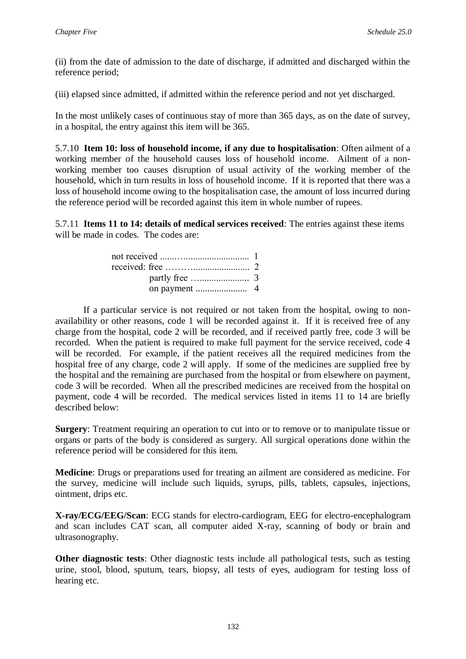(ii) from the date of admission to the date of discharge, if admitted and discharged within the reference period;

(iii) elapsed since admitted, if admitted within the reference period and not yet discharged.

In the most unlikely cases of continuous stay of more than 365 days, as on the date of survey, in a hospital, the entry against this item will be 365.

5.7.10 **Item 10: loss of household income, if any due to hospitalisation**: Often ailment of a working member of the household causes loss of household income. Ailment of a nonworking member too causes disruption of usual activity of the working member of the household, which in turn results in loss of household income. If it is reported that there was a loss of household income owing to the hospitalisation case, the amount of loss incurred during the reference period will be recorded against this item in whole number of rupees.

5.7.11 **Items 11 to 14: details of medical services received**: The entries against these items will be made in codes. The codes are:

If a particular service is not required or not taken from the hospital, owing to nonavailability or other reasons, code 1 will be recorded against it. If it is received free of any charge from the hospital, code 2 will be recorded, and if received partly free, code 3 will be recorded. When the patient is required to make full payment for the service received, code 4 will be recorded. For example, if the patient receives all the required medicines from the hospital free of any charge, code 2 will apply. If some of the medicines are supplied free by the hospital and the remaining are purchased from the hospital or from elsewhere on payment, code 3 will be recorded. When all the prescribed medicines are received from the hospital on payment, code 4 will be recorded. The medical services listed in items 11 to 14 are briefly described below:

**Surgery**: Treatment requiring an operation to cut into or to remove or to manipulate tissue or organs or parts of the body is considered as surgery. All surgical operations done within the reference period will be considered for this item.

**Medicine**: Drugs or preparations used for treating an ailment are considered as medicine. For the survey, medicine will include such liquids, syrups, pills, tablets, capsules, injections, ointment, drips etc.

**X-ray/ECG/EEG/Scan**: ECG stands for electro-cardiogram, EEG for electro-encephalogram and scan includes CAT scan, all computer aided X-ray, scanning of body or brain and ultrasonography.

**Other diagnostic tests**: Other diagnostic tests include all pathological tests, such as testing urine, stool, blood, sputum, tears, biopsy, all tests of eyes, audiogram for testing loss of hearing etc.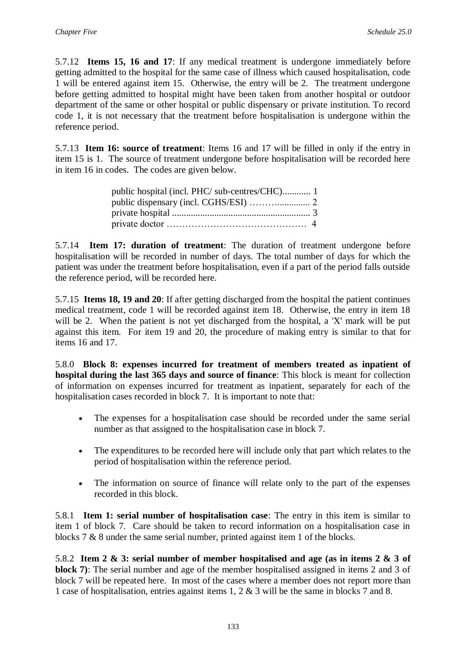5.7.12 **Items 15, 16 and 17**: If any medical treatment is undergone immediately before getting admitted to the hospital for the same case of illness which caused hospitalisation, code 1 will be entered against item 15. Otherwise, the entry will be 2. The treatment undergone before getting admitted to hospital might have been taken from another hospital or outdoor department of the same or other hospital or public dispensary or private institution. To record code 1, it is not necessary that the treatment before hospitalisation is undergone within the reference period.

5.7.13 **Item 16: source of treatment**: Items 16 and 17 will be filled in only if the entry in item 15 is 1. The source of treatment undergone before hospitalisation will be recorded here in item 16 in codes. The codes are given below.

| public hospital (incl. PHC/ sub-centres/CHC) 1 |  |
|------------------------------------------------|--|
|                                                |  |
|                                                |  |
|                                                |  |

5.7.14 **Item 17: duration of treatment**: The duration of treatment undergone before hospitalisation will be recorded in number of days. The total number of days for which the patient was under the treatment before hospitalisation, even if a part of the period falls outside the reference period, will be recorded here.

5.7.15 **Items 18, 19 and 20**: If after getting discharged from the hospital the patient continues medical treatment, code 1 will be recorded against item 18. Otherwise, the entry in item 18 will be 2. When the patient is not yet discharged from the hospital, a 'X' mark will be put against this item. For item 19 and 20, the procedure of making entry is similar to that for items 16 and 17.

5.8.0 **Block 8: expenses incurred for treatment of members treated as inpatient of hospital during the last 365 days and source of finance**: This block is meant for collection of information on expenses incurred for treatment as inpatient, separately for each of the hospitalisation cases recorded in block 7. It is important to note that:

- The expenses for a hospitalisation case should be recorded under the same serial number as that assigned to the hospitalisation case in block 7.
- The expenditures to be recorded here will include only that part which relates to the period of hospitalisation within the reference period.
- The information on source of finance will relate only to the part of the expenses recorded in this block.

5.8.1 **Item 1: serial number of hospitalisation case**: The entry in this item is similar to item 1 of block 7. Care should be taken to record information on a hospitalisation case in blocks 7 & 8 under the same serial number, printed against item 1 of the blocks.

5.8.2 **Item 2 & 3: serial number of member hospitalised and age (as in items 2 & 3 of block 7)**: The serial number and age of the member hospitalised assigned in items 2 and 3 of block 7 will be repeated here. In most of the cases where a member does not report more than 1 case of hospitalisation, entries against items 1, 2 & 3 will be the same in blocks 7 and 8.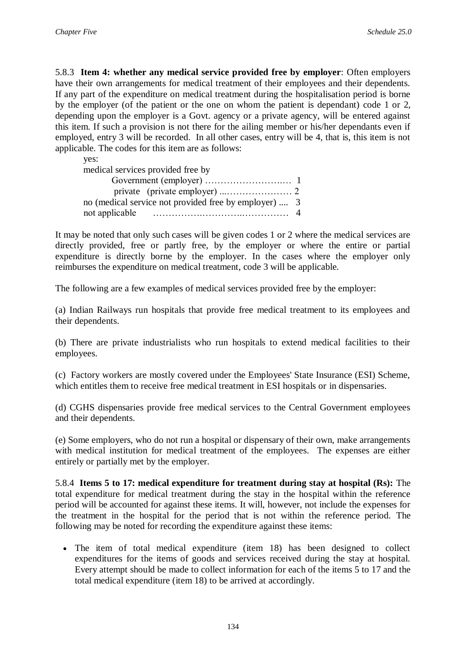5.8.3 **Item 4: whether any medical service provided free by employer**: Often employers have their own arrangements for medical treatment of their employees and their dependents. If any part of the expenditure on medical treatment during the hospitalisation period is borne by the employer (of the patient or the one on whom the patient is dependant) code 1 or 2, depending upon the employer is a Govt. agency or a private agency, will be entered against this item. If such a provision is not there for the ailing member or his/her dependants even if employed, entry 3 will be recorded. In all other cases, entry will be 4, that is, this item is not applicable. The codes for this item are as follows:

yes:

medical services provided free by

| no (medical service not provided free by employer)  3 |  |
|-------------------------------------------------------|--|
|                                                       |  |

It may be noted that only such cases will be given codes 1 or 2 where the medical services are directly provided, free or partly free, by the employer or where the entire or partial expenditure is directly borne by the employer. In the cases where the employer only reimburses the expenditure on medical treatment, code 3 will be applicable.

The following are a few examples of medical services provided free by the employer:

(a) Indian Railways run hospitals that provide free medical treatment to its employees and their dependents.

(b) There are private industrialists who run hospitals to extend medical facilities to their employees.

(c) Factory workers are mostly covered under the Employees' State Insurance (ESI) Scheme, which entitles them to receive free medical treatment in ESI hospitals or in dispensaries.

(d) CGHS dispensaries provide free medical services to the Central Government employees and their dependents.

(e) Some employers, who do not run a hospital or dispensary of their own, make arrangements with medical institution for medical treatment of the employees. The expenses are either entirely or partially met by the employer.

5.8.4 **Items 5 to 17: medical expenditure for treatment during stay at hospital (Rs):** The total expenditure for medical treatment during the stay in the hospital within the reference period will be accounted for against these items. It will, however, not include the expenses for the treatment in the hospital for the period that is not within the reference period. The following may be noted for recording the expenditure against these items:

 The item of total medical expenditure (item 18) has been designed to collect expenditures for the items of goods and services received during the stay at hospital. Every attempt should be made to collect information for each of the items 5 to 17 and the total medical expenditure (item 18) to be arrived at accordingly.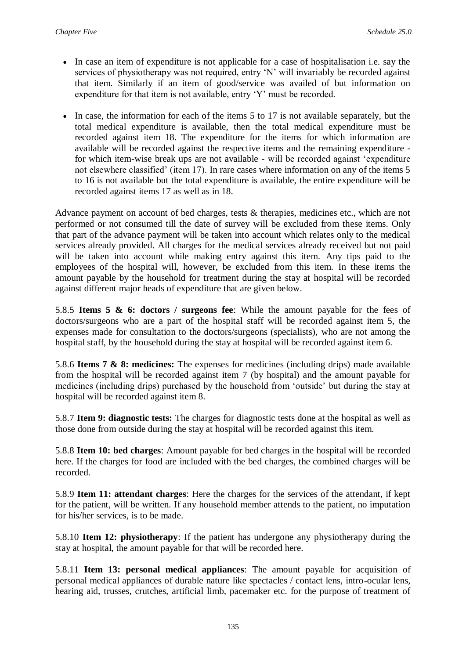- In case an item of expenditure is not applicable for a case of hospitalisation i.e. say the services of physiotherapy was not required, entry 'N' will invariably be recorded against that item. Similarly if an item of good/service was availed of but information on expenditure for that item is not available, entry 'Y' must be recorded.
- In case, the information for each of the items 5 to 17 is not available separately, but the total medical expenditure is available, then the total medical expenditure must be recorded against item 18. The expenditure for the items for which information are available will be recorded against the respective items and the remaining expenditure for which item-wise break ups are not available - will be recorded against 'expenditure not elsewhere classified' (item 17). In rare cases where information on any of the items 5 to 16 is not available but the total expenditure is available, the entire expenditure will be recorded against items 17 as well as in 18.

Advance payment on account of bed charges, tests & therapies, medicines etc., which are not performed or not consumed till the date of survey will be excluded from these items. Only that part of the advance payment will be taken into account which relates only to the medical services already provided. All charges for the medical services already received but not paid will be taken into account while making entry against this item. Any tips paid to the employees of the hospital will, however, be excluded from this item. In these items the amount payable by the household for treatment during the stay at hospital will be recorded against different major heads of expenditure that are given below.

5.8.5 **Items 5 & 6: doctors / surgeons fee**: While the amount payable for the fees of doctors/surgeons who are a part of the hospital staff will be recorded against item 5, the expenses made for consultation to the doctors/surgeons (specialists), who are not among the hospital staff, by the household during the stay at hospital will be recorded against item 6.

5.8.6 **Items 7 & 8: medicines:** The expenses for medicines (including drips) made available from the hospital will be recorded against item 7 (by hospital) and the amount payable for medicines (including drips) purchased by the household from 'outside' but during the stay at hospital will be recorded against item 8.

5.8.7 **Item 9: diagnostic tests:** The charges for diagnostic tests done at the hospital as well as those done from outside during the stay at hospital will be recorded against this item.

5.8.8 **Item 10: bed charges**: Amount payable for bed charges in the hospital will be recorded here. If the charges for food are included with the bed charges, the combined charges will be recorded.

5.8.9 **Item 11: attendant charges**: Here the charges for the services of the attendant, if kept for the patient, will be written. If any household member attends to the patient, no imputation for his/her services, is to be made.

5.8.10 **Item 12: physiotherapy**: If the patient has undergone any physiotherapy during the stay at hospital, the amount payable for that will be recorded here.

5.8.11 **Item 13: personal medical appliances**: The amount payable for acquisition of personal medical appliances of durable nature like spectacles / contact lens, intro-ocular lens, hearing aid, trusses, crutches, artificial limb, pacemaker etc. for the purpose of treatment of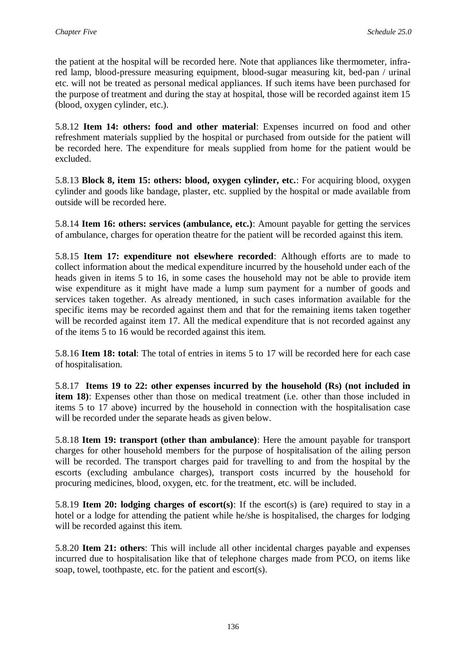the patient at the hospital will be recorded here. Note that appliances like thermometer, infrared lamp, blood-pressure measuring equipment, blood-sugar measuring kit, bed-pan / urinal etc. will not be treated as personal medical appliances. If such items have been purchased for the purpose of treatment and during the stay at hospital, those will be recorded against item 15 (blood, oxygen cylinder, etc.).

5.8.12 **Item 14: others: food and other material**: Expenses incurred on food and other refreshment materials supplied by the hospital or purchased from outside for the patient will be recorded here. The expenditure for meals supplied from home for the patient would be excluded.

5.8.13 **Block 8, item 15: others: blood, oxygen cylinder, etc.**: For acquiring blood, oxygen cylinder and goods like bandage, plaster, etc. supplied by the hospital or made available from outside will be recorded here.

5.8.14 **Item 16: others: services (ambulance, etc.)**: Amount payable for getting the services of ambulance, charges for operation theatre for the patient will be recorded against this item.

5.8.15 **Item 17: expenditure not elsewhere recorded**: Although efforts are to made to collect information about the medical expenditure incurred by the household under each of the heads given in items 5 to 16, in some cases the household may not be able to provide item wise expenditure as it might have made a lump sum payment for a number of goods and services taken together. As already mentioned, in such cases information available for the specific items may be recorded against them and that for the remaining items taken together will be recorded against item 17. All the medical expenditure that is not recorded against any of the items 5 to 16 would be recorded against this item.

5.8.16 **Item 18: total**: The total of entries in items 5 to 17 will be recorded here for each case of hospitalisation.

5.8.17 **Items 19 to 22: other expenses incurred by the household (Rs) (not included in item 18)**: Expenses other than those on medical treatment (i.e. other than those included in items 5 to 17 above) incurred by the household in connection with the hospitalisation case will be recorded under the separate heads as given below.

5.8.18 **Item 19: transport (other than ambulance)**: Here the amount payable for transport charges for other household members for the purpose of hospitalisation of the ailing person will be recorded. The transport charges paid for travelling to and from the hospital by the escorts (excluding ambulance charges), transport costs incurred by the household for procuring medicines, blood, oxygen, etc. for the treatment, etc. will be included.

5.8.19 **Item 20: lodging charges of escort(s)**: If the escort(s) is (are) required to stay in a hotel or a lodge for attending the patient while he/she is hospitalised, the charges for lodging will be recorded against this item.

5.8.20 **Item 21: others**: This will include all other incidental charges payable and expenses incurred due to hospitalisation like that of telephone charges made from PCO, on items like soap, towel, toothpaste, etc. for the patient and escort(s).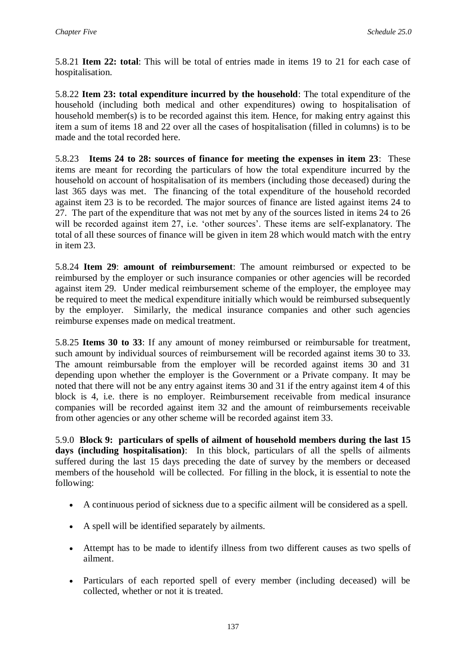5.8.21 **Item 22: total**: This will be total of entries made in items 19 to 21 for each case of hospitalisation.

5.8.22 **Item 23: total expenditure incurred by the household**: The total expenditure of the household (including both medical and other expenditures) owing to hospitalisation of household member(s) is to be recorded against this item. Hence, for making entry against this item a sum of items 18 and 22 over all the cases of hospitalisation (filled in columns) is to be made and the total recorded here.

5.8.23 **Items 24 to 28: sources of finance for meeting the expenses in item 23**: These items are meant for recording the particulars of how the total expenditure incurred by the household on account of hospitalisation of its members (including those deceased) during the last 365 days was met. The financing of the total expenditure of the household recorded against item 23 is to be recorded. The major sources of finance are listed against items 24 to 27. The part of the expenditure that was not met by any of the sources listed in items 24 to 26 will be recorded against item 27, i.e. 'other sources'. These items are self-explanatory. The total of all these sources of finance will be given in item 28 which would match with the entry in item 23.

5.8.24 **Item 29**: **amount of reimbursement**: The amount reimbursed or expected to be reimbursed by the employer or such insurance companies or other agencies will be recorded against item 29. Under medical reimbursement scheme of the employer, the employee may be required to meet the medical expenditure initially which would be reimbursed subsequently by the employer. Similarly, the medical insurance companies and other such agencies reimburse expenses made on medical treatment.

5.8.25 **Items 30 to 33**: If any amount of money reimbursed or reimbursable for treatment, such amount by individual sources of reimbursement will be recorded against items 30 to 33. The amount reimbursable from the employer will be recorded against items 30 and 31 depending upon whether the employer is the Government or a Private company. It may be noted that there will not be any entry against items 30 and 31 if the entry against item 4 of this block is 4, i.e. there is no employer. Reimbursement receivable from medical insurance companies will be recorded against item 32 and the amount of reimbursements receivable from other agencies or any other scheme will be recorded against item 33.

5.9.0 **Block 9: particulars of spells of ailment of household members during the last 15 days (including hospitalisation)**: In this block, particulars of all the spells of ailments suffered during the last 15 days preceding the date of survey by the members or deceased members of the household will be collected. For filling in the block, it is essential to note the following:

- A continuous period of sickness due to a specific ailment will be considered as a spell.
- A spell will be identified separately by ailments.
- Attempt has to be made to identify illness from two different causes as two spells of ailment.
- Particulars of each reported spell of every member (including deceased) will be collected, whether or not it is treated.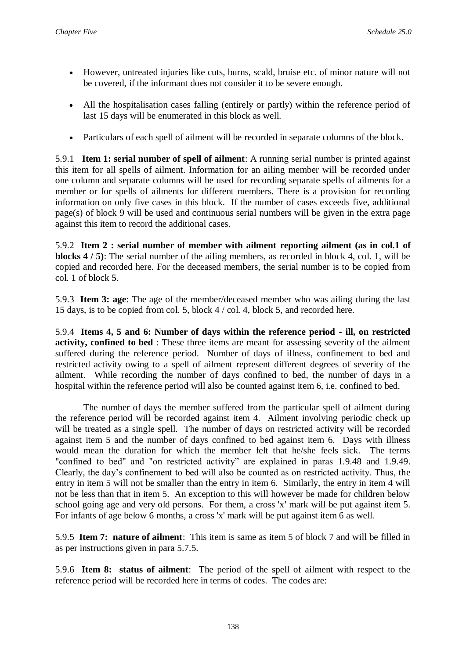- However, untreated injuries like cuts, burns, scald, bruise etc. of minor nature will not be covered, if the informant does not consider it to be severe enough.
- All the hospitalisation cases falling (entirely or partly) within the reference period of last 15 days will be enumerated in this block as well.
- Particulars of each spell of ailment will be recorded in separate columns of the block.

5.9.1 **Item 1: serial number of spell of ailment**: A running serial number is printed against this item for all spells of ailment. Information for an ailing member will be recorded under one column and separate columns will be used for recording separate spells of ailments for a member or for spells of ailments for different members. There is a provision for recording information on only five cases in this block. If the number of cases exceeds five, additional page(s) of block 9 will be used and continuous serial numbers will be given in the extra page against this item to record the additional cases.

5.9.2 **Item 2 : serial number of member with ailment reporting ailment (as in col.1 of blocks 4 / 5)**: The serial number of the ailing members, as recorded in block 4, col. 1, will be copied and recorded here. For the deceased members, the serial number is to be copied from col. 1 of block 5.

5.9.3 **Item 3: age**: The age of the member/deceased member who was ailing during the last 15 days, is to be copied from col. 5, block 4 / col. 4, block 5, and recorded here.

5.9.4 **Items 4, 5 and 6: Number of days within the reference period - ill, on restricted activity, confined to bed** : These three items are meant for assessing severity of the ailment suffered during the reference period. Number of days of illness, confinement to bed and restricted activity owing to a spell of ailment represent different degrees of severity of the ailment. While recording the number of days confined to bed, the number of days in a hospital within the reference period will also be counted against item 6, i.e. confined to bed.

The number of days the member suffered from the particular spell of ailment during the reference period will be recorded against item 4. Ailment involving periodic check up will be treated as a single spell. The number of days on restricted activity will be recorded against item 5 and the number of days confined to bed against item 6. Days with illness would mean the duration for which the member felt that he/she feels sick. The terms "confined to bed" and "on restricted activity" are explained in paras 1.9.48 and 1.9.49. Clearly, the day's confinement to bed will also be counted as on restricted activity. Thus, the entry in item 5 will not be smaller than the entry in item 6. Similarly, the entry in item 4 will not be less than that in item 5. An exception to this will however be made for children below school going age and very old persons. For them, a cross 'x' mark will be put against item 5. For infants of age below 6 months, a cross 'x' mark will be put against item 6 as well.

5.9.5 **Item 7: nature of ailment**: This item is same as item 5 of block 7 and will be filled in as per instructions given in para 5.7.5.

5.9.6 **Item 8: status of ailment**: The period of the spell of ailment with respect to the reference period will be recorded here in terms of codes. The codes are: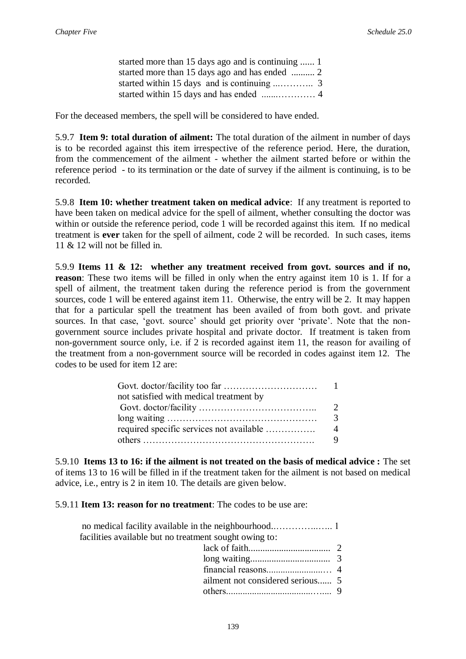| started more than 15 days ago and is continuing  1 |  |
|----------------------------------------------------|--|
|                                                    |  |
|                                                    |  |
|                                                    |  |

For the deceased members, the spell will be considered to have ended.

5.9.7 **Item 9: total duration of ailment:** The total duration of the ailment in number of days is to be recorded against this item irrespective of the reference period. Here, the duration, from the commencement of the ailment - whether the ailment started before or within the reference period - to its termination or the date of survey if the ailment is continuing, is to be recorded.

5.9.8 **Item 10: whether treatment taken on medical advice**: If any treatment is reported to have been taken on medical advice for the spell of ailment, whether consulting the doctor was within or outside the reference period, code 1 will be recorded against this item. If no medical treatment is **ever** taken for the spell of ailment, code 2 will be recorded. In such cases, items 11  $\&$  12 will not be filled in.

5.9.9 **Items 11 & 12: whether any treatment received from govt. sources and if no, reason**: These two items will be filled in only when the entry against item 10 is 1. If for a spell of ailment, the treatment taken during the reference period is from the government sources, code 1 will be entered against item 11. Otherwise, the entry will be 2. It may happen that for a particular spell the treatment has been availed of from both govt. and private sources. In that case, 'govt. source' should get priority over 'private'. Note that the nongovernment source includes private hospital and private doctor. If treatment is taken from non-government source only, i.e. if 2 is recorded against item 11, the reason for availing of the treatment from a non-government source will be recorded in codes against item 12. The codes to be used for item 12 are:

| not satisfied with medical treatment by  |  |
|------------------------------------------|--|
|                                          |  |
|                                          |  |
| required specific services not available |  |
|                                          |  |

5.9.10 **Items 13 to 16: if the ailment is not treated on the basis of medical advice :** The set of items 13 to 16 will be filled in if the treatment taken for the ailment is not based on medical advice, i.e., entry is 2 in item 10. The details are given below.

5.9.11 **Item 13: reason for no treatment**: The codes to be use are:

| facilities available but no treatment sought owing to: |  |
|--------------------------------------------------------|--|
|                                                        |  |
|                                                        |  |
|                                                        |  |
|                                                        |  |
|                                                        |  |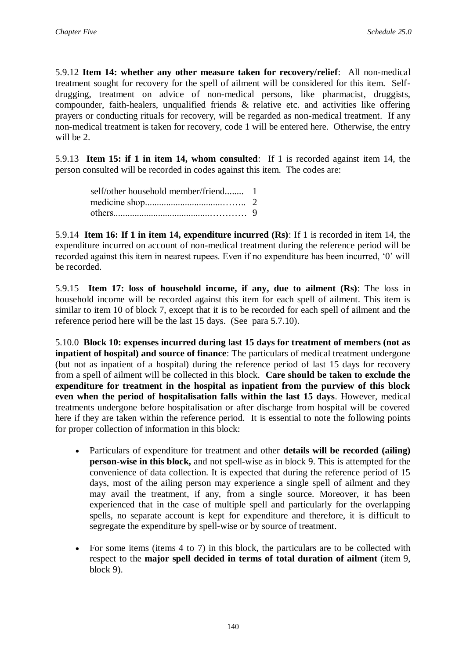5.9.12 **Item 14: whether any other measure taken for recovery/relief**: All non-medical treatment sought for recovery for the spell of ailment will be considered for this item. Selfdrugging, treatment on advice of non-medical persons, like pharmacist, druggists, compounder, faith-healers, unqualified friends & relative etc. and activities like offering prayers or conducting rituals for recovery, will be regarded as non-medical treatment. If any non-medical treatment is taken for recovery, code 1 will be entered here. Otherwise, the entry will be 2.

5.9.13 **Item 15: if 1 in item 14, whom consulted**: If 1 is recorded against item 14, the person consulted will be recorded in codes against this item. The codes are:

5.9.14 **Item 16: If 1 in item 14, expenditure incurred (Rs)**: If 1 is recorded in item 14, the expenditure incurred on account of non-medical treatment during the reference period will be recorded against this item in nearest rupees. Even if no expenditure has been incurred, '0' will be recorded.

5.9.15 **Item 17: loss of household income, if any, due to ailment (Rs)**: The loss in household income will be recorded against this item for each spell of ailment. This item is similar to item 10 of block 7, except that it is to be recorded for each spell of ailment and the reference period here will be the last 15 days. (See para 5.7.10).

5.10.0 **Block 10: expenses incurred during last 15 days for treatment of members (not as inpatient of hospital) and source of finance**: The particulars of medical treatment undergone (but not as inpatient of a hospital) during the reference period of last 15 days for recovery from a spell of ailment will be collected in this block. **Care should be taken to exclude the expenditure for treatment in the hospital as inpatient from the purview of this block even when the period of hospitalisation falls within the last 15 days**. However, medical treatments undergone before hospitalisation or after discharge from hospital will be covered here if they are taken within the reference period. It is essential to note the following points for proper collection of information in this block:

- Particulars of expenditure for treatment and other **details will be recorded (ailing) person-wise in this block,** and not spell-wise as in block 9. This is attempted for the convenience of data collection. It is expected that during the reference period of 15 days, most of the ailing person may experience a single spell of ailment and they may avail the treatment, if any, from a single source. Moreover, it has been experienced that in the case of multiple spell and particularly for the overlapping spells, no separate account is kept for expenditure and therefore, it is difficult to segregate the expenditure by spell-wise or by source of treatment.
- For some items (items 4 to 7) in this block, the particulars are to be collected with respect to the **major spell decided in terms of total duration of ailment** (item 9, block 9).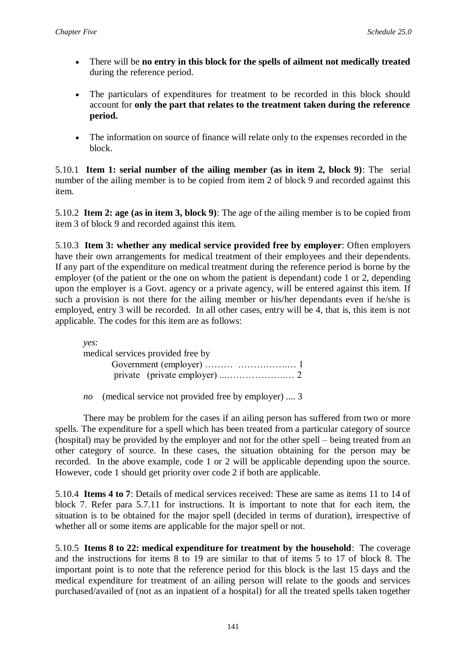- There will be **no entry in this block for the spells of ailment not medically treated** during the reference period.
- The particulars of expenditures for treatment to be recorded in this block should account for **only the part that relates to the treatment taken during the reference period.**
- The information on source of finance will relate only to the expenses recorded in the block.

5.10.1 **Item 1: serial number of the ailing member (as in item 2, block 9)**: The serial number of the ailing member is to be copied from item 2 of block 9 and recorded against this item.

5.10.2 **Item 2: age (as in item 3, block 9)**: The age of the ailing member is to be copied from item 3 of block 9 and recorded against this item.

5.10.3 **Item 3: whether any medical service provided free by employer**: Often employers have their own arrangements for medical treatment of their employees and their dependents. If any part of the expenditure on medical treatment during the reference period is borne by the employer (of the patient or the one on whom the patient is dependant) code 1 or 2, depending upon the employer is a Govt. agency or a private agency, will be entered against this item. If such a provision is not there for the ailing member or his/her dependants even if he/she is employed, entry 3 will be recorded. In all other cases, entry will be 4, that is, this item is not applicable. The codes for this item are as follows:

*yes*: medical services provided free by Government (employer) ……… …………….… 1 private (private employer) ...……………….… 2

*no* (medical service not provided free by employer) .... 3

There may be problem for the cases if an ailing person has suffered from two or more spells. The expenditure for a spell which has been treated from a particular category of source (hospital) may be provided by the employer and not for the other spell – being treated from an other category of source. In these cases, the situation obtaining for the person may be recorded. In the above example, code 1 or 2 will be applicable depending upon the source. However, code 1 should get priority over code 2 if both are applicable.

5.10.4 **Items 4 to 7**: Details of medical services received: These are same as items 11 to 14 of block 7. Refer para 5.7.11 for instructions. It is important to note that for each item, the situation is to be obtained for the major spell (decided in terms of duration), irrespective of whether all or some items are applicable for the major spell or not.

5.10.5 **Items 8 to 22: medical expenditure for treatment by the household**: The coverage and the instructions for items 8 to 19 are similar to that of items 5 to 17 of block 8. The important point is to note that the reference period for this block is the last 15 days and the medical expenditure for treatment of an ailing person will relate to the goods and services purchased/availed of (not as an inpatient of a hospital) for all the treated spells taken together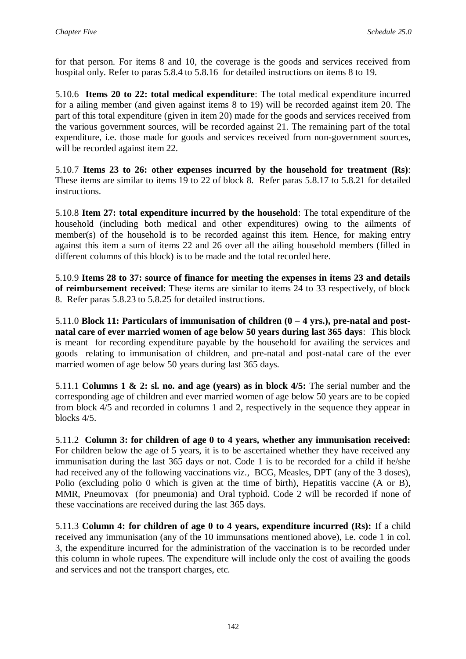for that person. For items 8 and 10, the coverage is the goods and services received from hospital only. Refer to paras 5.8.4 to 5.8.16 for detailed instructions on items 8 to 19.

5.10.6 **Items 20 to 22: total medical expenditure**: The total medical expenditure incurred for a ailing member (and given against items 8 to 19) will be recorded against item 20. The part of this total expenditure (given in item 20) made for the goods and services received from the various government sources, will be recorded against 21. The remaining part of the total expenditure, i.e. those made for goods and services received from non-government sources, will be recorded against item 22.

5.10.7 **Items 23 to 26: other expenses incurred by the household for treatment (Rs)**: These items are similar to items 19 to 22 of block 8. Refer paras 5.8.17 to 5.8.21 for detailed instructions.

5.10.8 **Item 27: total expenditure incurred by the household**: The total expenditure of the household (including both medical and other expenditures) owing to the ailments of member(s) of the household is to be recorded against this item. Hence, for making entry against this item a sum of items 22 and 26 over all the ailing household members (filled in different columns of this block) is to be made and the total recorded here.

5.10.9 **Items 28 to 37: source of finance for meeting the expenses in items 23 and details of reimbursement received**: These items are similar to items 24 to 33 respectively, of block 8. Refer paras 5.8.23 to 5.8.25 for detailed instructions.

5.11.0 **Block 11: Particulars of immunisation of children (0 – 4 yrs.), pre-natal and postnatal care of ever married women of age below 50 years during last 365 days**: This block is meant for recording expenditure payable by the household for availing the services and goods relating to immunisation of children, and pre-natal and post-natal care of the ever married women of age below 50 years during last 365 days.

5.11.1 **Columns 1 & 2: sl. no. and age (years) as in block 4/5:** The serial number and the corresponding age of children and ever married women of age below 50 years are to be copied from block 4/5 and recorded in columns 1 and 2, respectively in the sequence they appear in blocks 4/5.

5.11.2 **Column 3: for children of age 0 to 4 years, whether any immunisation received:**  For children below the age of 5 years, it is to be ascertained whether they have received any immunisation during the last 365 days or not. Code 1 is to be recorded for a child if he/she had received any of the following vaccinations viz., BCG, Measles, DPT (any of the 3 doses), Polio (excluding polio 0 which is given at the time of birth), Hepatitis vaccine (A or B), MMR, Pneumovax (for pneumonia) and Oral typhoid. Code 2 will be recorded if none of these vaccinations are received during the last 365 days.

5.11.3 **Column 4: for children of age 0 to 4 years, expenditure incurred (Rs):** If a child received any immunisation (any of the 10 immunsations mentioned above), i.e. code 1 in col. 3, the expenditure incurred for the administration of the vaccination is to be recorded under this column in whole rupees. The expenditure will include only the cost of availing the goods and services and not the transport charges, etc.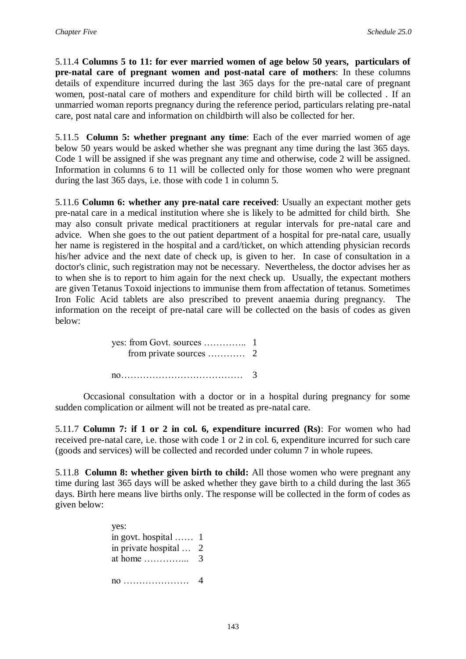5.11.4 **Columns 5 to 11: for ever married women of age below 50 years, particulars of pre-natal care of pregnant women and post-natal care of mothers**: In these columns details of expenditure incurred during the last 365 days for the pre-natal care of pregnant women, post-natal care of mothers and expenditure for child birth will be collected . If an unmarried woman reports pregnancy during the reference period, particulars relating pre-natal care, post natal care and information on childbirth will also be collected for her.

5.11.5 **Column 5: whether pregnant any time**: Each of the ever married women of age below 50 years would be asked whether she was pregnant any time during the last 365 days. Code 1 will be assigned if she was pregnant any time and otherwise, code 2 will be assigned. Information in columns 6 to 11 will be collected only for those women who were pregnant during the last 365 days, i.e. those with code 1 in column 5.

5.11.6 **Column 6: whether any pre-natal care received**: Usually an expectant mother gets pre-natal care in a medical institution where she is likely to be admitted for child birth. She may also consult private medical practitioners at regular intervals for pre-natal care and advice. When she goes to the out patient department of a hospital for pre-natal care, usually her name is registered in the hospital and a card/ticket, on which attending physician records his/her advice and the next date of check up, is given to her. In case of consultation in a doctor's clinic, such registration may not be necessary. Nevertheless, the doctor advises her as to when she is to report to him again for the next check up. Usually, the expectant mothers are given Tetanus Toxoid injections to immunise them from affectation of tetanus. Sometimes Iron Folic Acid tablets are also prescribed to prevent anaemia during pregnancy. The information on the receipt of pre-natal care will be collected on the basis of codes as given below:

| $\overline{a}$ |  |
|----------------|--|

Occasional consultation with a doctor or in a hospital during pregnancy for some sudden complication or ailment will not be treated as pre-natal care.

5.11.7 **Column 7: if 1 or 2 in col. 6, expenditure incurred (Rs)**: For women who had received pre-natal care, i.e. those with code 1 or 2 in col. 6, expenditure incurred for such care (goods and services) will be collected and recorded under column 7 in whole rupees.

5.11.8 **Column 8: whether given birth to child:** All those women who were pregnant any time during last 365 days will be asked whether they gave birth to a child during the last 365 days. Birth here means live births only. The response will be collected in the form of codes as given below:

> yes: in govt. hospital …… 1 in private hospital … 2 at home …………... 3 no ………………… 4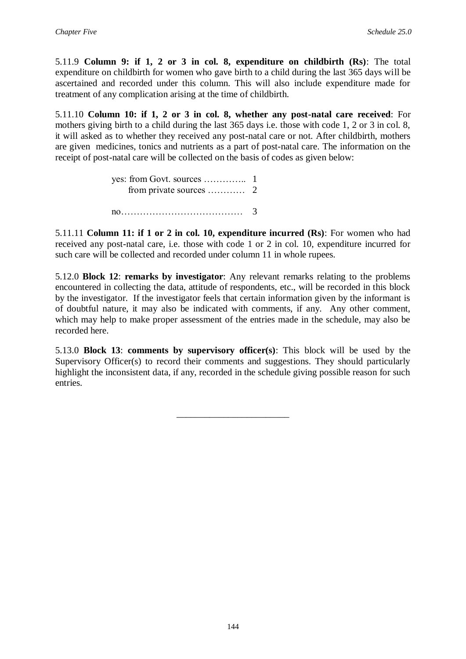5.11.9 **Column 9: if 1, 2 or 3 in col. 8, expenditure on childbirth (Rs)**: The total expenditure on childbirth for women who gave birth to a child during the last 365 days will be ascertained and recorded under this column. This will also include expenditure made for treatment of any complication arising at the time of childbirth.

5.11.10 **Column 10: if 1, 2 or 3 in col. 8, whether any post-natal care received**: For mothers giving birth to a child during the last 365 days i.e. those with code 1, 2 or 3 in col. 8, it will asked as to whether they received any post-natal care or not. After childbirth, mothers are given medicines, tonics and nutrients as a part of post-natal care. The information on the receipt of post-natal care will be collected on the basis of codes as given below:

5.11.11 **Column 11: if 1 or 2 in col. 10, expenditure incurred (Rs)**: For women who had received any post-natal care, i.e. those with code 1 or 2 in col. 10, expenditure incurred for such care will be collected and recorded under column 11 in whole rupees.

5.12.0 **Block 12**: **remarks by investigator**: Any relevant remarks relating to the problems encountered in collecting the data, attitude of respondents, etc., will be recorded in this block by the investigator. If the investigator feels that certain information given by the informant is of doubtful nature, it may also be indicated with comments, if any. Any other comment, which may help to make proper assessment of the entries made in the schedule, may also be recorded here.

5.13.0 **Block 13**: **comments by supervisory officer(s)**: This block will be used by the Supervisory Officer(s) to record their comments and suggestions. They should particularly highlight the inconsistent data, if any, recorded in the schedule giving possible reason for such entries.

\_\_\_\_\_\_\_\_\_\_\_\_\_\_\_\_\_\_\_\_\_\_\_\_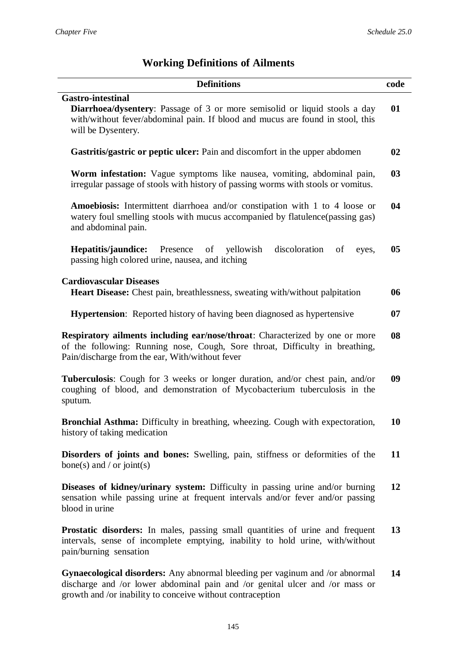# **Working Definitions of Ailments**

| <b>Definitions</b>                                                                                                                                                                                                                | code |
|-----------------------------------------------------------------------------------------------------------------------------------------------------------------------------------------------------------------------------------|------|
| <b>Gastro-intestinal</b><br><b>Diarrhoea/dysentery:</b> Passage of 3 or more semisolid or liquid stools a day<br>with/without fever/abdominal pain. If blood and mucus are found in stool, this<br>will be Dysentery.             | 01   |
| Gastritis/gastric or peptic ulcer: Pain and discomfort in the upper abdomen                                                                                                                                                       | 02   |
| <b>Worm infestation:</b> Vague symptoms like nausea, vomiting, abdominal pain,<br>irregular passage of stools with history of passing worms with stools or vomitus.                                                               | 03   |
| Amoebiosis: Intermittent diarrhoea and/or constipation with 1 to 4 loose or<br>watery foul smelling stools with mucus accompanied by flatulence (passing gas)<br>and abdominal pain.                                              | 04   |
| Presence<br>of yellowish<br>discoloration<br>Hepatitis/jaundice:<br>of<br>eyes,<br>passing high colored urine, nausea, and itching                                                                                                | 05   |
| <b>Cardiovascular Diseases</b>                                                                                                                                                                                                    | 06   |
| Heart Disease: Chest pain, breathlessness, sweating with/without palpitation                                                                                                                                                      |      |
| <b>Hypertension:</b> Reported history of having been diagnosed as hypertensive                                                                                                                                                    | 07   |
| <b>Respiratory ailments including ear/nose/throat:</b> Characterized by one or more<br>of the following: Running nose, Cough, Sore throat, Difficulty in breathing,<br>Pain/discharge from the ear, With/without fever            | 08   |
| Tuberculosis: Cough for 3 weeks or longer duration, and/or chest pain, and/or<br>coughing of blood, and demonstration of Mycobacterium tuberculosis in the<br>sputum.                                                             | 09   |
| Bronchial Asthma: Difficulty in breathing, wheezing. Cough with expectoration,<br>history of taking medication                                                                                                                    | 10   |
| <b>Disorders of joints and bones:</b> Swelling, pain, stiffness or deformities of the<br>bone(s) and / or joint(s)                                                                                                                | 11   |
| Diseases of kidney/urinary system: Difficulty in passing urine and/or burning<br>sensation while passing urine at frequent intervals and/or fever and/or passing<br>blood in urine                                                | 12   |
| <b>Prostatic disorders:</b> In males, passing small quantities of urine and frequent<br>intervals, sense of incomplete emptying, inability to hold urine, with/without<br>pain/burning sensation                                  | 13   |
| <b>Gynaecological disorders:</b> Any abnormal bleeding per vaginum and /or abnormal<br>discharge and /or lower abdominal pain and /or genital ulcer and /or mass or<br>growth and /or inability to conceive without contraception | 14   |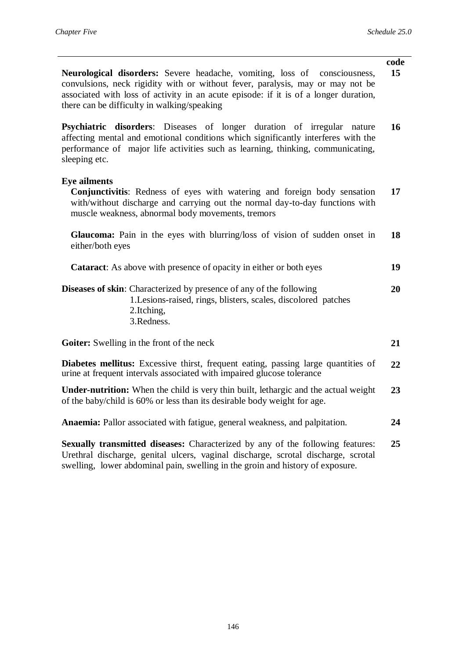| Neurological disorders: Severe headache, vomiting, loss of consciousness,<br>convulsions, neck rigidity with or without fever, paralysis, may or may not be<br>associated with loss of activity in an acute episode: if it is of a longer duration,<br>there can be difficulty in walking/speaking | code<br>15 |
|----------------------------------------------------------------------------------------------------------------------------------------------------------------------------------------------------------------------------------------------------------------------------------------------------|------------|
| Psychiatric disorders: Diseases of longer duration of irregular nature<br>affecting mental and emotional conditions which significantly interferes with the<br>performance of major life activities such as learning, thinking, communicating,<br>sleeping etc.                                    | 16         |
| <b>Eye ailments</b><br>Conjunctivitis: Redness of eyes with watering and foreign body sensation<br>with/without discharge and carrying out the normal day-to-day functions with<br>muscle weakness, abnormal body movements, tremors                                                               | 17         |
| Glaucoma: Pain in the eyes with blurring/loss of vision of sudden onset in<br>either/both eyes                                                                                                                                                                                                     | 18         |
| <b>Cataract:</b> As above with presence of opacity in either or both eyes                                                                                                                                                                                                                          | 19         |
| <b>Diseases of skin:</b> Characterized by presence of any of the following<br>1. Lesions-raised, rings, blisters, scales, discolored patches<br>2.Itching,<br>3.Redness.                                                                                                                           | 20         |
| Goiter: Swelling in the front of the neck                                                                                                                                                                                                                                                          | 21         |
| Diabetes mellitus: Excessive thirst, frequent eating, passing large quantities of<br>urine at frequent intervals associated with impaired glucose tolerance                                                                                                                                        | 22         |
| <b>Under-nutrition:</b> When the child is very thin built, lethargic and the actual weight<br>of the baby/child is 60% or less than its desirable body weight for age.                                                                                                                             | 23         |
| Anaemia: Pallor associated with fatigue, general weakness, and palpitation.                                                                                                                                                                                                                        | 24         |
| Sexually transmitted diseases: Characterized by any of the following features:<br>Urethral discharge, genital ulcers, vaginal discharge, scrotal discharge, scrotal                                                                                                                                | 25         |

swelling, lower abdominal pain, swelling in the groin and history of exposure.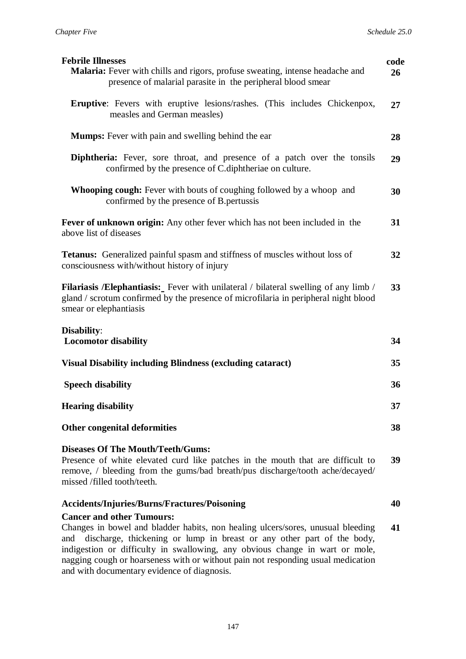| <b>Febrile Illnesses</b>                                                                                                                                                                                                                                                             | code |
|--------------------------------------------------------------------------------------------------------------------------------------------------------------------------------------------------------------------------------------------------------------------------------------|------|
| Malaria: Fever with chills and rigors, profuse sweating, intense headache and<br>presence of malarial parasite in the peripheral blood smear                                                                                                                                         | 26   |
| <b>Eruptive:</b> Fevers with eruptive lesions/rashes. (This includes Chickenpox,<br>measles and German measles)                                                                                                                                                                      | 27   |
| <b>Mumps:</b> Fever with pain and swelling behind the ear                                                                                                                                                                                                                            | 28   |
| <b>Diphtheria:</b> Fever, sore throat, and presence of a patch over the tonsils<br>confirmed by the presence of C.diphtheriae on culture.                                                                                                                                            | 29   |
| <b>Whooping cough:</b> Fever with bouts of coughing followed by a whoop and<br>confirmed by the presence of B. pertussis                                                                                                                                                             | 30   |
| <b>Fever of unknown origin:</b> Any other fever which has not been included in the<br>above list of diseases                                                                                                                                                                         | 31   |
| <b>Tetanus:</b> Generalized painful spasm and stiffness of muscles without loss of<br>consciousness with/without history of injury                                                                                                                                                   | 32   |
| <b>Filariasis /Elephantiasis:</b> Fever with unilateral / bilateral swelling of any limb /<br>gland / scrotum confirmed by the presence of microfilaria in peripheral night blood<br>smear or elephantiasis                                                                          | 33   |
| <b>Disability:</b><br><b>Locomotor disability</b>                                                                                                                                                                                                                                    | 34   |
| <b>Visual Disability including Blindness (excluding cataract)</b>                                                                                                                                                                                                                    | 35   |
| <b>Speech disability</b>                                                                                                                                                                                                                                                             | 36   |
| <b>Hearing disability</b>                                                                                                                                                                                                                                                            | 37   |
| <b>Other congenital deformities</b>                                                                                                                                                                                                                                                  | 38   |
| <b>Diseases Of The Mouth/Teeth/Gums:</b><br>Presence of white elevated curd like patches in the mouth that are difficult to<br>remove, / bleeding from the gums/bad breath/pus discharge/tooth ache/decayed/<br>missed /filled tooth/teeth.                                          | 39   |
| <b>Accidents/Injuries/Burns/Fractures/Poisoning</b>                                                                                                                                                                                                                                  | 40   |
| <b>Cancer and other Tumours:</b><br>Changes in bowel and bladder habits, non healing ulcers/sores, unusual bleeding<br>discharge, thickening or lump in breast or any other part of the body,<br>and<br>indigestion or difficulty in swallowing, any obvious change in wart or mole, | 41   |

nagging cough or hoarseness with or without pain not responding usual medication and with documentary evidence of diagnosis.